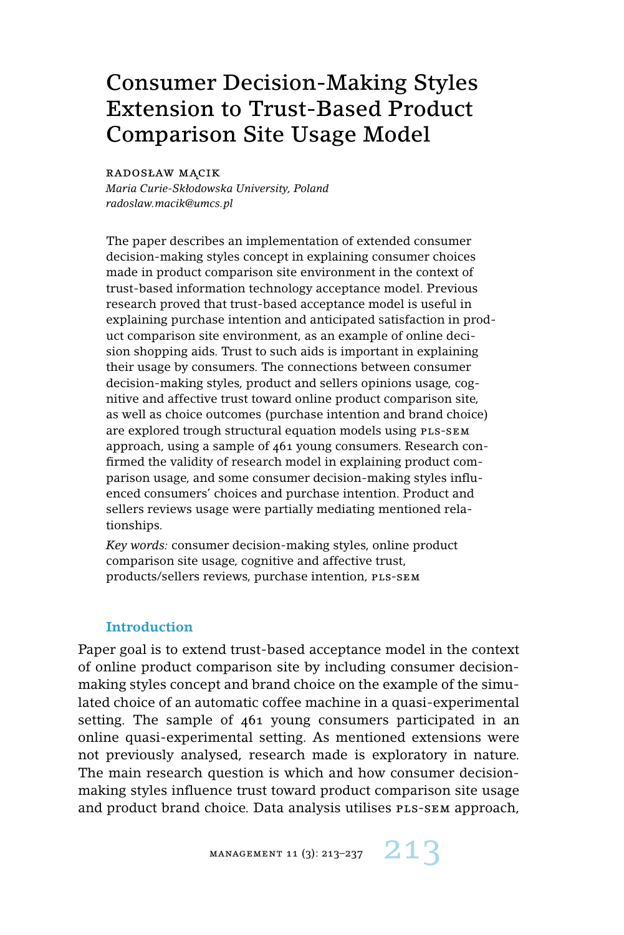# Consumer Decision-Making Styles Extension to Trust-Based Product Comparison Site Usage Model

### RADOSŁAW MACIK

*Maria Curie-Skłodowska University, Poland radoslaw.macik@umcs.pl*

The paper describes an implementation of extended consumer decision-making styles concept in explaining consumer choices made in product comparison site environment in the context of trust-based information technology acceptance model. Previous research proved that trust-based acceptance model is useful in explaining purchase intention and anticipated satisfaction in product comparison site environment, as an example of online decision shopping aids. Trust to such aids is important in explaining their usage by consumers. The connections between consumer decision-making styles, product and sellers opinions usage, cognitive and affective trust toward online product comparison site, as well as choice outcomes (purchase intention and brand choice) are explored trough structural equation models using PLS-SEM approach, using a sample of 461 young consumers. Research confirmed the validity of research model in explaining product comparison usage, and some consumer decision-making styles influenced consumers' choices and purchase intention. Product and sellers reviews usage were partially mediating mentioned relationships.

*Key words:* consumer decision-making styles, online product comparison site usage, cognitive and affective trust, products/sellers reviews, purchase intention, PLS-SEM

## **Introduction**

Paper goal is to extend trust-based acceptance model in the context of online product comparison site by including consumer decisionmaking styles concept and brand choice on the example of the simulated choice of an automatic coffee machine in a quasi-experimental setting. The sample of 461 young consumers participated in an online quasi-experimental setting. As mentioned extensions were not previously analysed, research made is exploratory in nature. The main research question is which and how consumer decisionmaking styles influence trust toward product comparison site usage and product brand choice. Data analysis utilises PLS-SEM approach,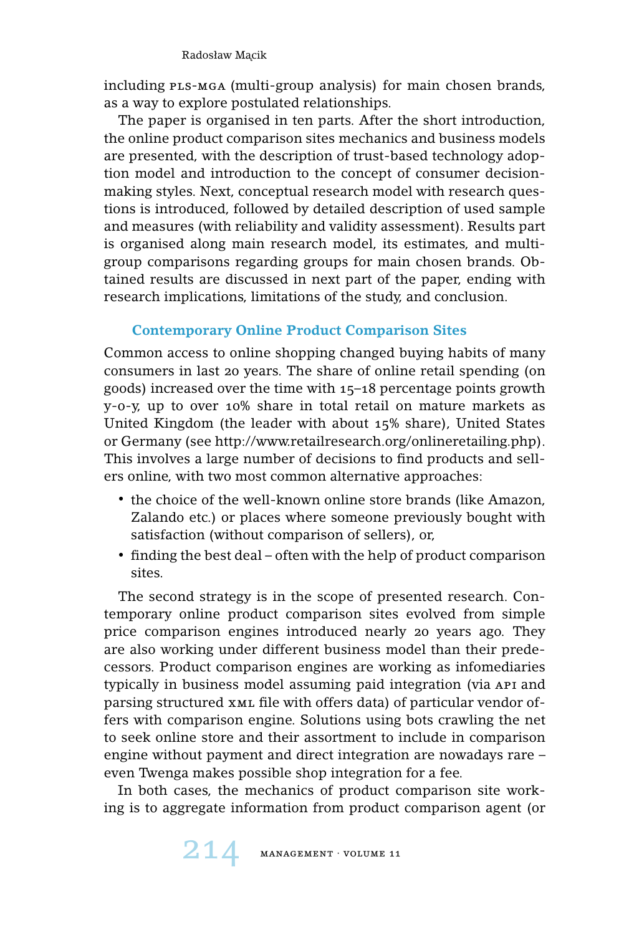including PLS-MGA (multi-group analysis) for main chosen brands, as a way to explore postulated relationships.

The paper is organised in ten parts. After the short introduction, the online product comparison sites mechanics and business models are presented, with the description of trust-based technology adoption model and introduction to the concept of consumer decisionmaking styles. Next, conceptual research model with research questions is introduced, followed by detailed description of used sample and measures (with reliability and validity assessment). Results part is organised along main research model, its estimates, and multigroup comparisons regarding groups for main chosen brands. Obtained results are discussed in next part of the paper, ending with research implications, limitations of the study, and conclusion.

# **Contemporary Online Product Comparison Sites**

Common access to online shopping changed buying habits of many consumers in last 20 years. The share of online retail spending (on goods) increased over the time with 15–18 percentage points growth y-o-y, up to over 10% share in total retail on mature markets as United Kingdom (the leader with about 15% share), United States or Germany (see http://www.retailresearch.org/onlineretailing.php). This involves a large number of decisions to find products and sellers online, with two most common alternative approaches:

- the choice of the well-known online store brands (like Amazon, Zalando etc.) or places where someone previously bought with satisfaction (without comparison of sellers), or,
- finding the best deal often with the help of product comparison sites.

The second strategy is in the scope of presented research. Contemporary online product comparison sites evolved from simple price comparison engines introduced nearly 20 years ago. They are also working under different business model than their predecessors. Product comparison engines are working as infomediaries typically in business model assuming paid integration (via API and parsing structured xml file with offers data) of particular vendor offers with comparison engine. Solutions using bots crawling the net to seek online store and their assortment to include in comparison engine without payment and direct integration are nowadays rare – even Twenga makes possible shop integration for a fee.

In both cases, the mechanics of product comparison site working is to aggregate information from product comparison agent (or

214 MANAGEMENT · VOLUME 11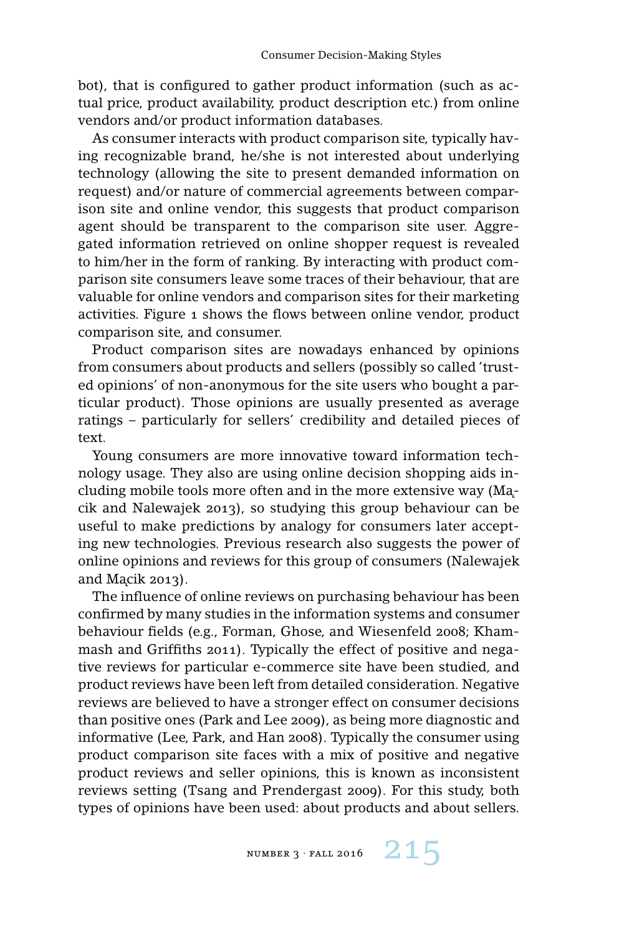bot), that is configured to gather product information (such as actual price, product availability, product description etc.) from online vendors and/or product information databases.

As consumer interacts with product comparison site, typically having recognizable brand, he/she is not interested about underlying technology (allowing the site to present demanded information on request) and/or nature of commercial agreements between comparison site and online vendor, this suggests that product comparison agent should be transparent to the comparison site user. Aggregated information retrieved on online shopper request is revealed to him/her in the form of ranking. By interacting with product comparison site consumers leave some traces of their behaviour, that are valuable for online vendors and comparison sites for their marketing activities. Figure 1 shows the flows between online vendor, product comparison site, and consumer.

Product comparison sites are nowadays enhanced by opinions from consumers about products and sellers (possibly so called 'trusted opinions' of non-anonymous for the site users who bought a particular product). Those opinions are usually presented as average ratings – particularly for sellers' credibility and detailed pieces of text.

Young consumers are more innovative toward information technology usage. They also are using online decision shopping aids including mobile tools more often and in the more extensive way (Macik and Nalewajek 2013), so studying this group behaviour can be useful to make predictions by analogy for consumers later accepting new technologies. Previous research also suggests the power of online opinions and reviews for this group of consumers (Nalewajek and Macik  $2013$ ).

The influence of online reviews on purchasing behaviour has been confirmed by many studies in the information systems and consumer behaviour fields (e.g., Forman, Ghose, and Wiesenfeld 2008; Khammash and Griffiths 2011). Typically the effect of positive and negative reviews for particular e-commerce site have been studied, and product reviews have been left from detailed consideration. Negative reviews are believed to have a stronger effect on consumer decisions than positive ones (Park and Lee 2009), as being more diagnostic and informative (Lee, Park, and Han 2008). Typically the consumer using product comparison site faces with a mix of positive and negative product reviews and seller opinions, this is known as inconsistent reviews setting (Tsang and Prendergast 2009). For this study, both types of opinions have been used: about products and about sellers.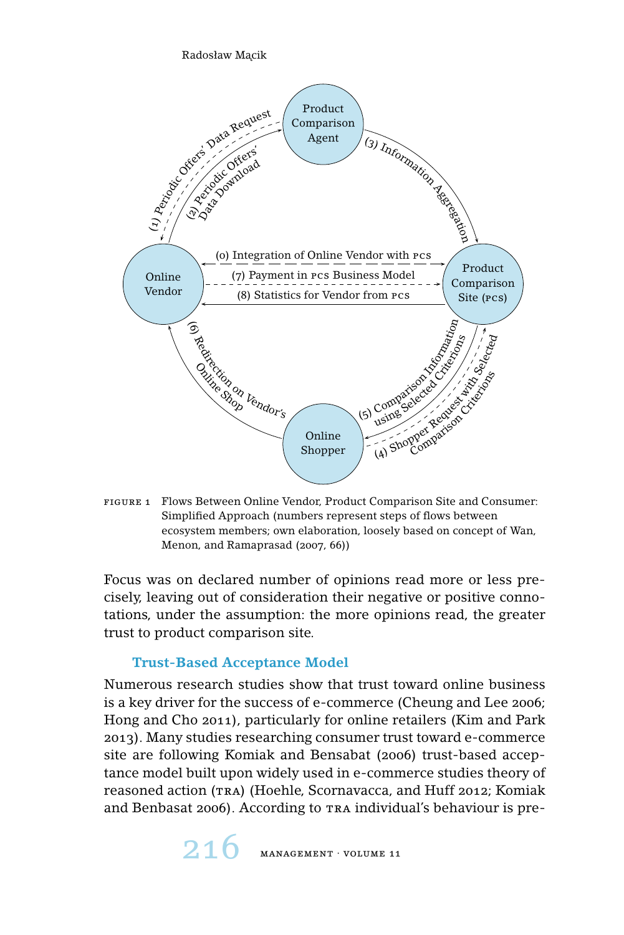

figure 1 Flows Between Online Vendor, Product Comparison Site and Consumer: Simplified Approach (numbers represent steps of flows between ecosystem members; own elaboration, loosely based on concept of Wan, Menon, and Ramaprasad (2007, 66))

Focus was on declared number of opinions read more or less precisely, leaving out of consideration their negative or positive connotations, under the assumption: the more opinions read, the greater trust to product comparison site.

# **Trust-Based Acceptance Model**

Numerous research studies show that trust toward online business is a key driver for the success of e-commerce (Cheung and Lee 2006; Hong and Cho 2011), particularly for online retailers (Kim and Park 2013). Many studies researching consumer trust toward e-commerce site are following Komiak and Bensabat (2006) trust-based acceptance model built upon widely used in e-commerce studies theory of reasoned action (tra) (Hoehle, Scornavacca, and Huff 2012; Komiak and Benbasat 2006). According to TRA individual's behaviour is pre-

216 MANAGEMENT · VOLUME 11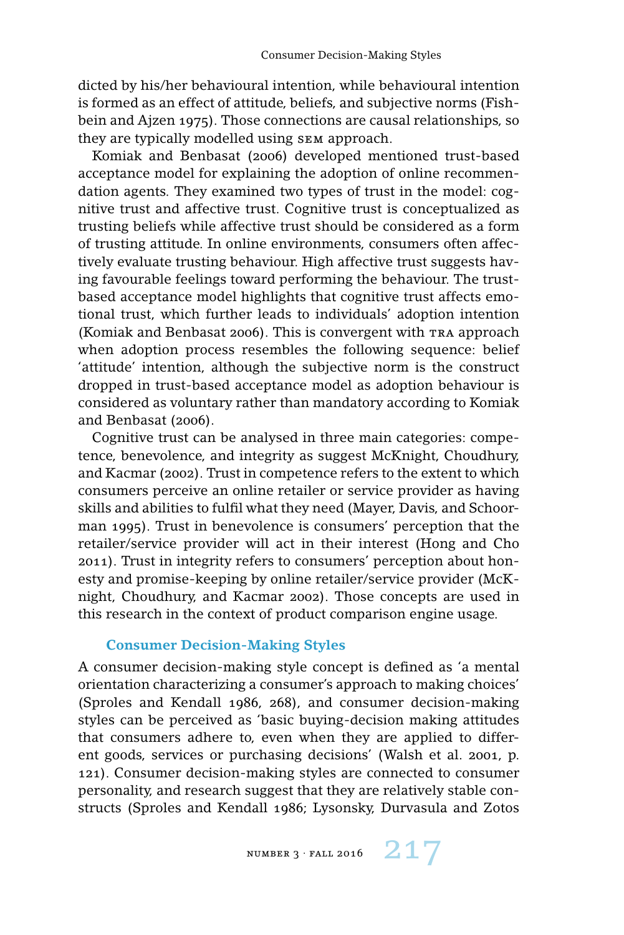dicted by his/her behavioural intention, while behavioural intention is formed as an effect of attitude, beliefs, and subjective norms (Fishbein and Ajzen 1975). Those connections are causal relationships, so they are typically modelled using sem approach.

Komiak and Benbasat (2006) developed mentioned trust-based acceptance model for explaining the adoption of online recommendation agents. They examined two types of trust in the model: cognitive trust and affective trust. Cognitive trust is conceptualized as trusting beliefs while affective trust should be considered as a form of trusting attitude. In online environments, consumers often affectively evaluate trusting behaviour. High affective trust suggests having favourable feelings toward performing the behaviour. The trustbased acceptance model highlights that cognitive trust affects emotional trust, which further leads to individuals' adoption intention (Komiak and Benbasat 2006). This is convergent with TRA approach when adoption process resembles the following sequence: belief 'attitude' intention, although the subjective norm is the construct dropped in trust-based acceptance model as adoption behaviour is considered as voluntary rather than mandatory according to Komiak and Benbasat (2006).

Cognitive trust can be analysed in three main categories: competence, benevolence, and integrity as suggest McKnight, Choudhury, and Kacmar (2002). Trust in competence refers to the extent to which consumers perceive an online retailer or service provider as having skills and abilities to fulfil what they need (Mayer, Davis, and Schoorman 1995). Trust in benevolence is consumers' perception that the retailer/service provider will act in their interest (Hong and Cho 2011). Trust in integrity refers to consumers' perception about honesty and promise-keeping by online retailer/service provider (McKnight, Choudhury, and Kacmar 2002). Those concepts are used in this research in the context of product comparison engine usage.

## **Consumer Decision-Making Styles**

A consumer decision-making style concept is defined as 'a mental orientation characterizing a consumer's approach to making choices' (Sproles and Kendall 1986, 268), and consumer decision-making styles can be perceived as 'basic buying-decision making attitudes that consumers adhere to, even when they are applied to different goods, services or purchasing decisions' (Walsh et al. 2001, p. 121). Consumer decision-making styles are connected to consumer personality, and research suggest that they are relatively stable constructs (Sproles and Kendall 1986; Lysonsky, Durvasula and Zotos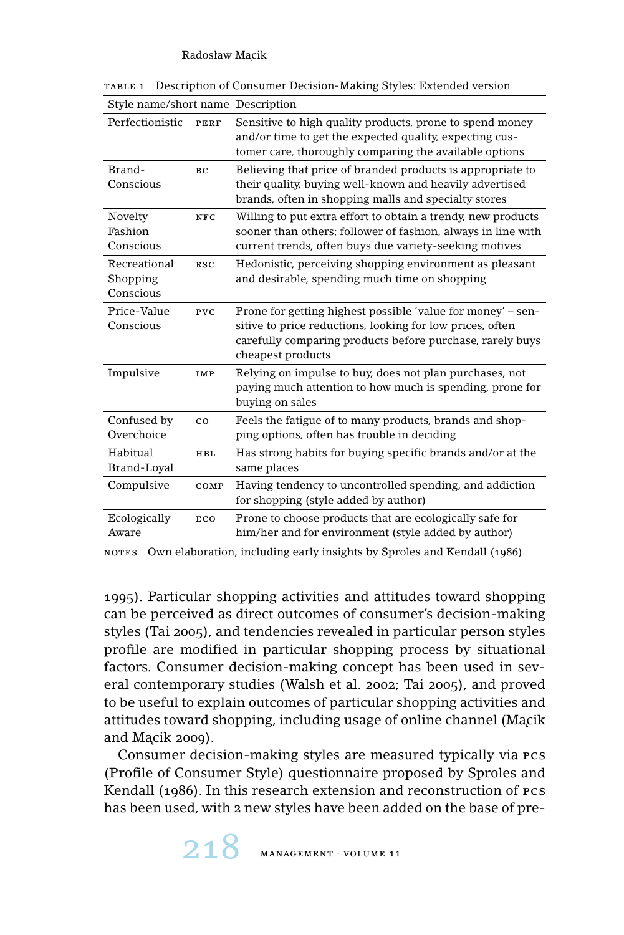| Style name/short name Description     |            |                                                                                                                                                                                                            |  |  |  |  |  |  |
|---------------------------------------|------------|------------------------------------------------------------------------------------------------------------------------------------------------------------------------------------------------------------|--|--|--|--|--|--|
| Perfectionistic                       | PERF       | Sensitive to high quality products, prone to spend money<br>and/or time to get the expected quality, expecting cus-<br>tomer care, thoroughly comparing the available options                              |  |  |  |  |  |  |
| Brand-<br>Conscious                   | BC.        | Believing that price of branded products is appropriate to<br>their quality, buying well-known and heavily advertised<br>brands, often in shopping malls and specialty stores                              |  |  |  |  |  |  |
| Novelty<br>Fashion<br>Conscious       | NFC        | Willing to put extra effort to obtain a trendy, new products<br>sooner than others; follower of fashion, always in line with<br>current trends, often buys due variety-seeking motives                     |  |  |  |  |  |  |
| Recreational<br>Shopping<br>Conscious | <b>RSC</b> | Hedonistic, perceiving shopping environment as pleasant<br>and desirable, spending much time on shopping                                                                                                   |  |  |  |  |  |  |
| Price-Value<br>Conscious              | PVC        | Prone for getting highest possible 'value for money' – sen-<br>sitive to price reductions, looking for low prices, often<br>carefully comparing products before purchase, rarely buys<br>cheapest products |  |  |  |  |  |  |
| Impulsive                             | <b>IMP</b> | Relying on impulse to buy, does not plan purchases, not<br>paying much attention to how much is spending, prone for<br>buying on sales                                                                     |  |  |  |  |  |  |
| Confused by<br>Overchoice             | co         | Feels the fatigue of to many products, brands and shop-<br>ping options, often has trouble in deciding                                                                                                     |  |  |  |  |  |  |
| Habitual<br>Brand-Loval               | <b>HBL</b> | Has strong habits for buying specific brands and/or at the<br>same places                                                                                                                                  |  |  |  |  |  |  |
| Compulsive                            | COMP       | Having tendency to uncontrolled spending, and addiction<br>for shopping (style added by author)                                                                                                            |  |  |  |  |  |  |
| Ecologically<br>Aware                 | ECO        | Prone to choose products that are ecologically safe for<br>him/her and for environment (style added by author)                                                                                             |  |  |  |  |  |  |

table 1 Description of Consumer Decision-Making Styles: Extended version

NOTES Own elaboration, including early insights by Sproles and Kendall (1986).

1995). Particular shopping activities and attitudes toward shopping can be perceived as direct outcomes of consumer's decision-making styles (Tai 2005), and tendencies revealed in particular person styles profile are modified in particular shopping process by situational factors. Consumer decision-making concept has been used in several contemporary studies (Walsh et al. 2002; Tai 2005), and proved to be useful to explain outcomes of particular shopping activities and attitudes toward shopping, including usage of online channel (Macik and Macik 2009).

Consumer decision-making styles are measured typically via pcs (Profile of Consumer Style) questionnaire proposed by Sproles and Kendall (1986). In this research extension and reconstruction of pcs has been used, with 2 new styles have been added on the base of pre-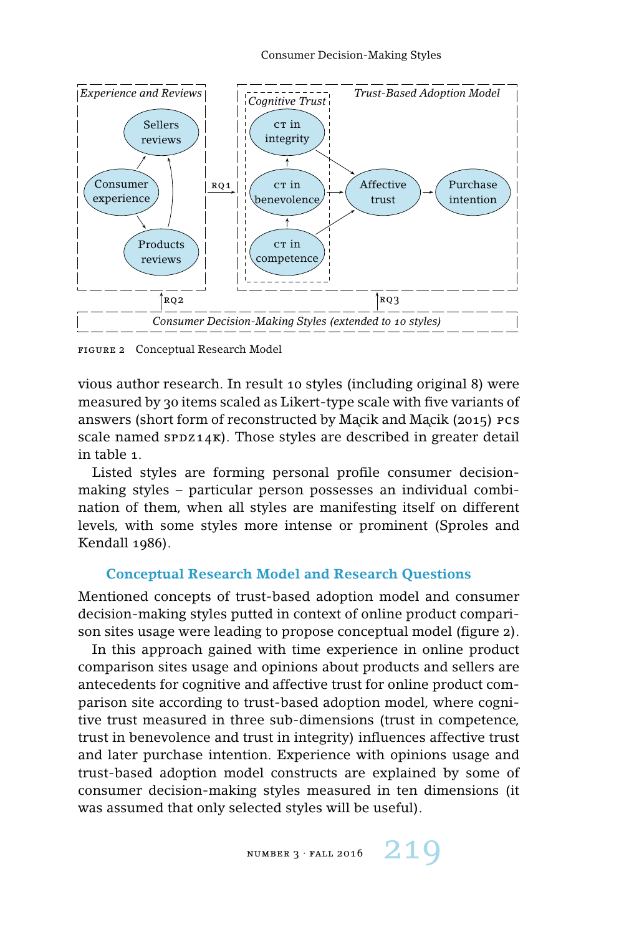

figure 2 Conceptual Research Model

vious author research. In result 10 styles (including original 8) were measured by 30 items scaled as Likert-type scale with five variants of answers (short form of reconstructed by Macik and Macik (2015) PCS scale named  $s$ PDZ14K). Those styles are described in greater detail in table 1.

Listed styles are forming personal profile consumer decisionmaking styles – particular person possesses an individual combination of them, when all styles are manifesting itself on different levels, with some styles more intense or prominent (Sproles and Kendall 1986).

## **Conceptual Research Model and Research Questions**

Mentioned concepts of trust-based adoption model and consumer decision-making styles putted in context of online product comparison sites usage were leading to propose conceptual model (figure 2).

In this approach gained with time experience in online product comparison sites usage and opinions about products and sellers are antecedents for cognitive and affective trust for online product comparison site according to trust-based adoption model, where cognitive trust measured in three sub-dimensions (trust in competence, trust in benevolence and trust in integrity) influences affective trust and later purchase intention. Experience with opinions usage and trust-based adoption model constructs are explained by some of consumer decision-making styles measured in ten dimensions (it was assumed that only selected styles will be useful).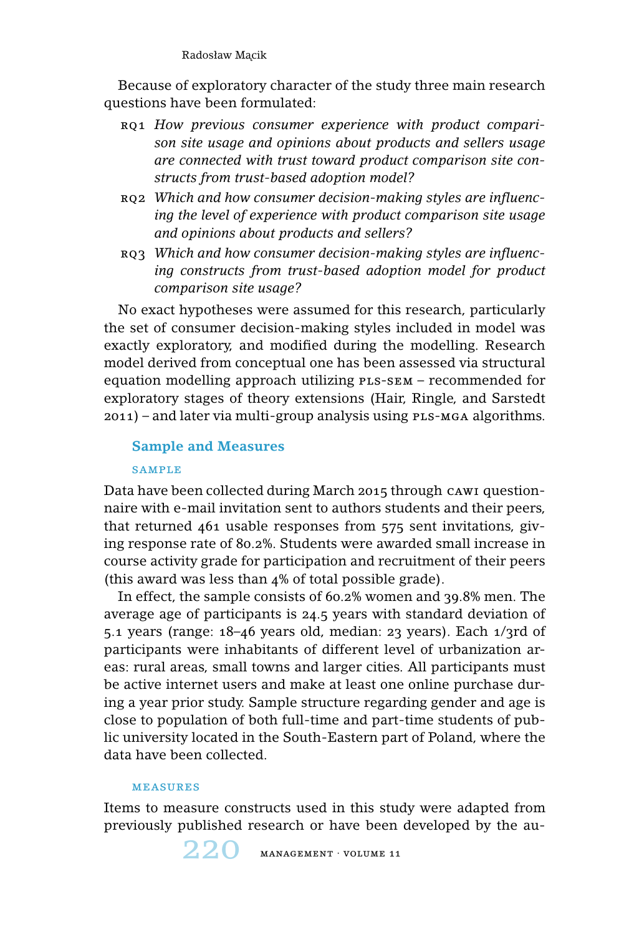Because of exploratory character of the study three main research questions have been formulated:

- rq1 *How previous consumer experience with product comparison site usage and opinions about products and sellers usage are connected with trust toward product comparison site constructs from trust-based adoption model?*
- rq2 *Which and how consumer decision-making styles are influencing the level of experience with product comparison site usage and opinions about products and sellers?*
- rq3 *Which and how consumer decision-making styles are influencing constructs from trust-based adoption model for product comparison site usage?*

No exact hypotheses were assumed for this research, particularly the set of consumer decision-making styles included in model was exactly exploratory, and modified during the modelling. Research model derived from conceptual one has been assessed via structural equation modelling approach utilizing PLS-SEM – recommended for exploratory stages of theory extensions (Hair, Ringle, and Sarstedt  $2011$ ) – and later via multi-group analysis using PLS-MGA algorithms.

# **Sample and Measures**

## sample

Data have been collected during March 2015 through cawi questionnaire with e-mail invitation sent to authors students and their peers, that returned 461 usable responses from 575 sent invitations, giving response rate of 80.2%. Students were awarded small increase in course activity grade for participation and recruitment of their peers (this award was less than 4% of total possible grade).

In effect, the sample consists of 60.2% women and 39.8% men. The average age of participants is 24.5 years with standard deviation of 5.1 years (range: 18–46 years old, median: 23 years). Each 1/3rd of participants were inhabitants of different level of urbanization areas: rural areas, small towns and larger cities. All participants must be active internet users and make at least one online purchase during a year prior study. Sample structure regarding gender and age is close to population of both full-time and part-time students of public university located in the South-Eastern part of Poland, where the data have been collected.

## measures

Items to measure constructs used in this study were adapted from previously published research or have been developed by the au-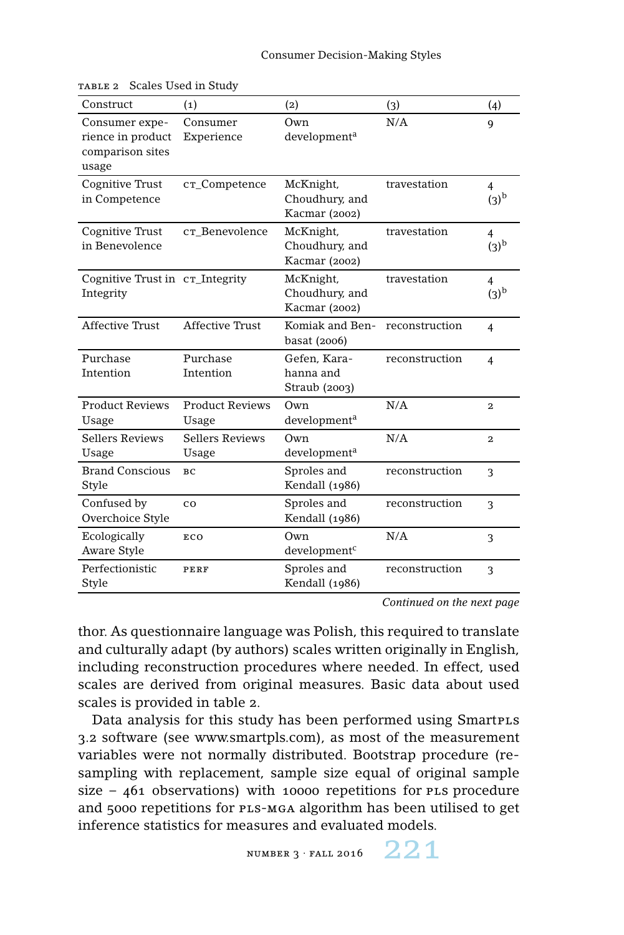| Construct                                                        | (1)                             | (2)                                          | (3)            | (4)                                |
|------------------------------------------------------------------|---------------------------------|----------------------------------------------|----------------|------------------------------------|
| Consumer expe-<br>rience in product<br>comparison sites<br>usage | Consumer<br>Experience          | Own<br>development <sup>a</sup>              | N/A            | 9                                  |
| Cognitive Trust<br>in Competence                                 | CT_Competence                   | McKnight,<br>Choudhury, and<br>Kacmar (2002) | travestation   | $\overline{4}$<br>(3) <sub>p</sub> |
| Cognitive Trust<br>in Benevolence                                | CT Benevolence                  | McKnight,<br>Choudhury, and<br>Kacmar (2002) | travestation   | $\overline{4}$<br>(3) <sub>p</sub> |
| Cognitive Trust in cr_Integrity<br>Integrity                     |                                 | McKnight,<br>Choudhury, and<br>Kacmar (2002) | travestation   | $\overline{4}$<br>$(3)^{b}$        |
| <b>Affective Trust</b>                                           | <b>Affective Trust</b>          | Komiak and Ben-<br>basat (2006)              | reconstruction | $\overline{4}$                     |
| Purchase<br>Intention                                            | Purchase<br>Intention           | Gefen. Kara-<br>hanna and<br>Straub (2003)   | reconstruction | $\overline{4}$                     |
| <b>Product Reviews</b><br>Usage                                  | <b>Product Reviews</b><br>Usage | Own<br>development <sup>a</sup>              | N/A            | $\overline{\mathbf{2}}$            |
| Sellers Reviews<br>Usage                                         | Sellers Reviews<br>Usage        | Own<br>development <sup>a</sup>              | N/A            | $\overline{a}$                     |
| <b>Brand Conscious</b><br>Style                                  | BC                              | Sproles and<br>Kendall (1986)                | reconstruction | 3                                  |
| Confused by<br>Overchoice Style                                  | co                              | Sproles and<br>Kendall (1986)                | reconstruction | 3                                  |
| Ecologically<br>Aware Style                                      | ECO                             | Own<br>development <sup>c</sup>              | N/A            | 3                                  |
| Perfectionistic<br>Style                                         | PERF                            | Sproles and<br>Kendall (1986)                | reconstruction | 3                                  |

TABLE 2 Scales Used in Study

*Continued on the next page*

thor. As questionnaire language was Polish, this required to translate and culturally adapt (by authors) scales written originally in English, including reconstruction procedures where needed. In effect, used scales are derived from original measures. Basic data about used scales is provided in table 2.

Data analysis for this study has been performed using Smartpls 3.2 software (see www.smartpls.com), as most of the measurement variables were not normally distributed. Bootstrap procedure (resampling with replacement, sample size equal of original sample size –  $461$  observations) with 10000 repetitions for PLS procedure and 5000 repetitions for pls-mga algorithm has been utilised to get inference statistics for measures and evaluated models.

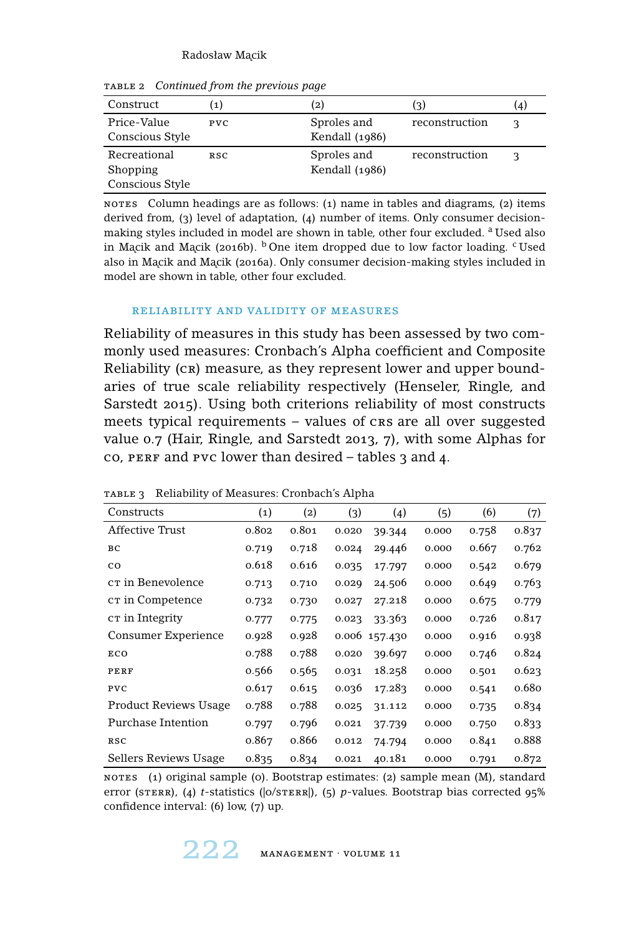| Construct                                   | (1)        | (2)                           | (ဒ)            | (4) |
|---------------------------------------------|------------|-------------------------------|----------------|-----|
| Price-Value<br>Conscious Style              | PVC.       | Sproles and<br>Kendall (1986) | reconstruction | 3   |
| Recreational<br>Shopping<br>Conscious Style | <b>RSC</b> | Sproles and<br>Kendall (1986) | reconstruction | 3   |

table 2 *Continued from the previous page*

notes Column headings are as follows: (1) name in tables and diagrams, (2) items derived from, (3) level of adaptation, (4) number of items. Only consumer decisionmaking styles included in model are shown in table, other four excluded. <sup>a</sup> Used also in Macik and Macik (2016b).  $\overline{b}$  One item dropped due to low factor loading. <sup>c</sup> Used also in Macik and Macik (2016a). Only consumer decision-making styles included in model are shown in table, other four excluded.

#### reliability and validity of measures

Reliability of measures in this study has been assessed by two commonly used measures: Cronbach's Alpha coefficient and Composite Reliability (cR) measure, as they represent lower and upper boundaries of true scale reliability respectively (Henseler, Ringle, and Sarstedt 2015). Using both criterions reliability of most constructs meets typical requirements – values of crs are all over suggested value 0.7 (Hair, Ringle, and Sarstedt 2013, 7), with some Alphas for co, PERF and PVC lower than desired  $-$  tables 3 and 4.

| Constructs                   | (1)   | (2)   | (3)   | (4)     | (5)   | (6)   | (7)   |
|------------------------------|-------|-------|-------|---------|-------|-------|-------|
| <b>Affective Trust</b>       | 0.802 | 0.801 | 0.020 | 39.344  | 0.000 | 0.758 | 0.837 |
| вc                           | 0.719 | 0.718 | 0.024 | 29.446  | 0.000 | 0.667 | 0.762 |
| $_{\rm co}$                  | 0.618 | 0.616 | 0.035 | 17.797  | 0.000 | 0.542 | 0.679 |
| ст in Benevolence            | 0.713 | 0.710 | 0.029 | 24.506  | 0.000 | 0.649 | 0.763 |
| cr in Competence             | 0.732 | 0.730 | 0.027 | 27.218  | 0.000 | 0.675 | 0.779 |
| C <sub>T</sub> in Integrity  | 0.777 | 0.775 | 0.023 | 33.363  | 0.000 | 0.726 | 0.817 |
| Consumer Experience          | 0.928 | 0.928 | 0.006 | 157.430 | 0.000 | 0.916 | 0.938 |
| ECO                          | 0.788 | 0.788 | 0.020 | 39.697  | 0.000 | 0.746 | 0.824 |
| PERF                         | 0.566 | 0.565 | 0.031 | 18.258  | 0.000 | 0.501 | 0.623 |
| PVC                          | 0.617 | 0.615 | 0.036 | 17.283  | 0.000 | 0.541 | 0.680 |
| <b>Product Reviews Usage</b> | 0.788 | 0.788 | 0.025 | 31.112  | 0.000 | 0.735 | 0.834 |
| Purchase Intention           | 0.797 | 0.796 | 0.021 | 37.739  | 0.000 | 0.750 | 0.833 |
| RSC                          | 0.867 | 0.866 | 0.012 | 74.794  | 0.000 | 0.841 | 0.888 |
| Sellers Reviews Usage        | 0.835 | 0.834 | 0.021 | 40.181  | 0.000 | 0.791 | 0.872 |

TABLE 3 Reliability of Measures: Cronbach's Alpha

NOTES (1) original sample (0). Bootstrap estimates: (2) sample mean (M), standard error (STERR), (4) *t*-statistics ( $|O/STERR|$ ), (5) *p*-values. Bootstrap bias corrected 95% confidence interval: (6) low, (7) up.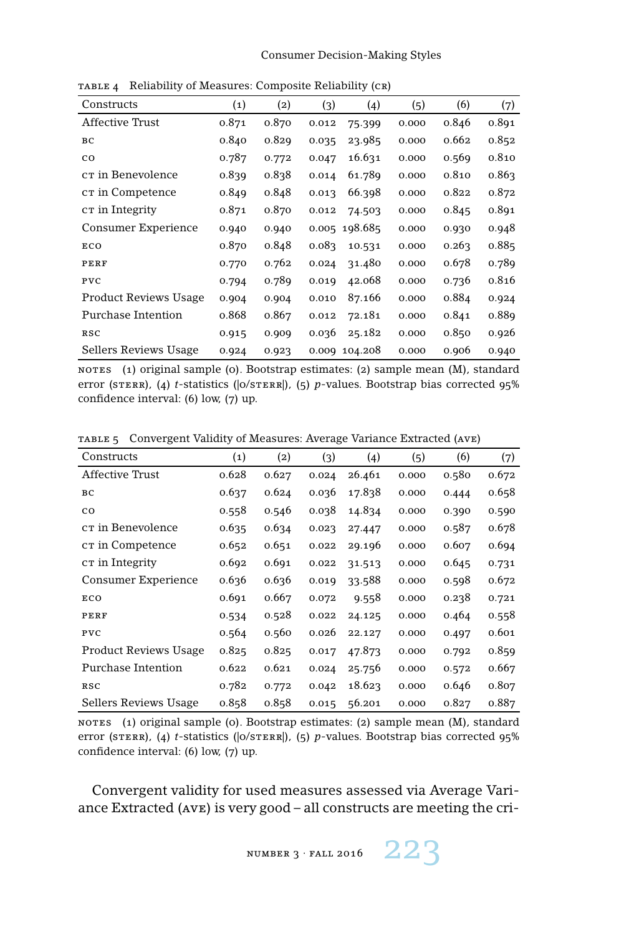| Constructs                 | (1)   | (2)   | (3)   | (4)     | (5)   | (6)   | (7)   |
|----------------------------|-------|-------|-------|---------|-------|-------|-------|
| <b>Affective Trust</b>     | 0.871 | 0.870 | 0.012 | 75.399  | 0.000 | 0.846 | 0.891 |
| ВC                         | 0.840 | 0.829 | 0.035 | 23.985  | 0.000 | 0.662 | 0.852 |
| $_{\rm co}$                | 0.787 | 0.772 | 0.047 | 16.631  | 0.000 | 0.569 | 0.810 |
| ст in Benevolence          | 0.839 | 0.838 | 0.014 | 61.789  | 0.000 | 0.810 | 0.863 |
| cr in Competence           | 0.849 | 0.848 | 0.013 | 66.398  | 0.000 | 0.822 | 0.872 |
| CT in Integrity            | 0.871 | 0.870 | 0.012 | 74.503  | 0.000 | 0.845 | 0.891 |
| <b>Consumer Experience</b> | 0.940 | 0.940 | 0.005 | 198.685 | 0.000 | 0.930 | 0.948 |
| ECO                        | 0.870 | 0.848 | 0.083 | 10.531  | 0.000 | 0.263 | 0.885 |
| PERF                       | 0.770 | 0.762 | 0.024 | 31.480  | 0.000 | 0.678 | 0.789 |
| PVC                        | 0.794 | 0.789 | 0.019 | 42.068  | 0.000 | 0.736 | 0.816 |
| Product Reviews Usage      | 0.904 | 0.904 | 0.010 | 87.166  | 0.000 | 0.884 | 0.924 |
| Purchase Intention         | 0.868 | 0.867 | 0.012 | 72.181  | 0.000 | 0.841 | 0.889 |
| RSC                        | 0.915 | 0.909 | 0.036 | 25.182  | 0.000 | 0.850 | 0.926 |
| Sellers Reviews Usage      | 0.924 | 0.923 | 0.009 | 104.208 | 0.000 | 0.906 | 0.940 |

table 4 Reliability of Measures: Composite Reliability (cr)

notes (1) original sample (o). Bootstrap estimates: (2) sample mean (M), standard error (STERR), (4) *t*-statistics ( $|O/STERR|$ ), (5) *p*-values. Bootstrap bias corrected 95% confidence interval: (6) low, (7) up.

table 5 Convergent Validity of Measures: Average Variance Extracted (ave)

| Constructs                   | (1)   | (2)   | (3)   | (4)    | (5)   | (6)   | (7)   |
|------------------------------|-------|-------|-------|--------|-------|-------|-------|
| <b>Affective Trust</b>       | 0.628 | 0.627 | 0.024 | 26.461 | 0.000 | 0.580 | 0.672 |
| ВC                           | 0.637 | 0.624 | 0.036 | 17.838 | 0.000 | 0.444 | 0.658 |
| co                           | 0.558 | 0.546 | 0.038 | 14.834 | 0.000 | 0.390 | 0.590 |
| CT in Benevolence            | 0.635 | 0.634 | 0.023 | 27.447 | 0.000 | 0.587 | 0.678 |
| CT in Competence             | 0.652 | 0.651 | 0.022 | 29.196 | 0.000 | 0.607 | 0.694 |
| C <sub>T</sub> in Integrity  | 0.692 | 0.691 | 0.022 | 31.513 | 0.000 | 0.645 | 0.731 |
| <b>Consumer Experience</b>   | 0.636 | 0.636 | 0.019 | 33.588 | 0.000 | 0.598 | 0.672 |
| ECO                          | 0.691 | 0.667 | 0.072 | 9.558  | 0.000 | 0.238 | 0.721 |
| PERF                         | 0.534 | 0.528 | 0.022 | 24.125 | 0.000 | 0.464 | 0.558 |
| PVC                          | 0.564 | 0.560 | 0.026 | 22.127 | 0.000 | 0.497 | 0.601 |
| <b>Product Reviews Usage</b> | 0.825 | 0.825 | 0.017 | 47.873 | 0.000 | 0.792 | 0.859 |
| Purchase Intention           | 0.622 | 0.621 | 0.024 | 25.756 | 0.000 | 0.572 | 0.667 |
| RSC                          | 0.782 | 0.772 | 0.042 | 18.623 | 0.000 | 0.646 | 0.807 |
| Sellers Reviews Usage        | 0.858 | 0.858 | 0.015 | 56.201 | 0.000 | 0.827 | 0.887 |

nores (1) original sample (0). Bootstrap estimates: (2) sample mean (M), standard error (STERR), (4) *t*-statistics ( $|O/STERR|$ ), (5) *p*-values. Bootstrap bias corrected 95% confidence interval: (6) low, (7) up.

Convergent validity for used measures assessed via Average Variance Extracted (ave) is very good – all constructs are meeting the cri-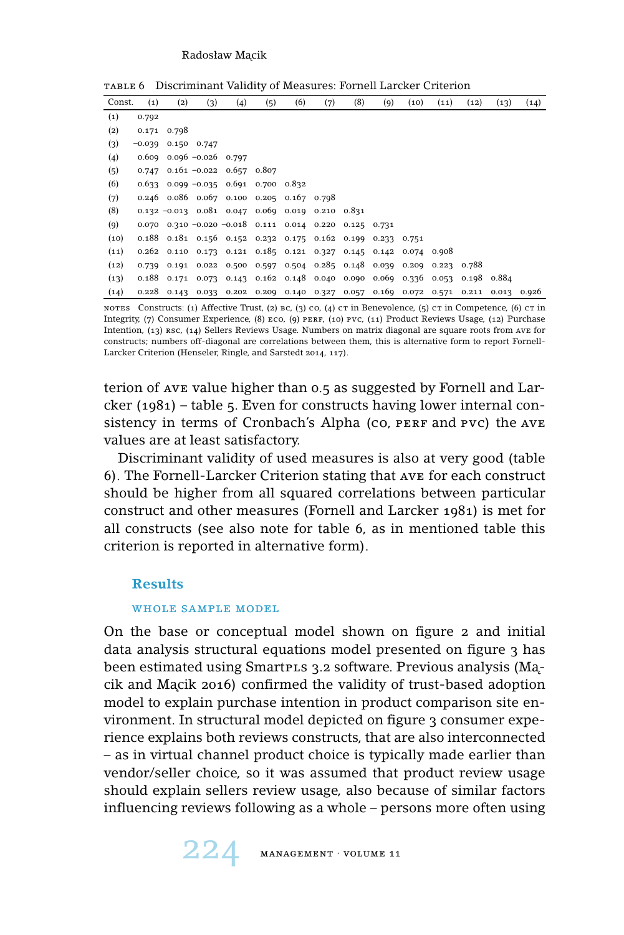|                   |                      |                   |                                  |                                                                                     |     |     |     | $-0.22 - 0.22$ |     |      |      |      |      |      |
|-------------------|----------------------|-------------------|----------------------------------|-------------------------------------------------------------------------------------|-----|-----|-----|----------------|-----|------|------|------|------|------|
| Const.            | (1)                  | $\left( 2\right)$ | (3)                              | (4)                                                                                 | (5) | (6) | (7) | (8)            | (9) | (10) | (11) | (12) | (13) | (14) |
| $\left( 1\right)$ | 0.792                |                   |                                  |                                                                                     |     |     |     |                |     |      |      |      |      |      |
| (2)               |                      | 0.171 0.798       |                                  |                                                                                     |     |     |     |                |     |      |      |      |      |      |
| (3)               | $-0.039$ 0.150 0.747 |                   |                                  |                                                                                     |     |     |     |                |     |      |      |      |      |      |
| (4)               |                      |                   | $0.609$ $0.096$ $-0.026$ $0.797$ |                                                                                     |     |     |     |                |     |      |      |      |      |      |
| (5)               |                      |                   |                                  | $0.747$ $0.161 -0.022$ $0.657$ $0.807$                                              |     |     |     |                |     |      |      |      |      |      |
| (6)               |                      |                   |                                  | $0.633$ $0.099$ $-0.035$ $0.691$ $0.700$ $0.832$                                    |     |     |     |                |     |      |      |      |      |      |
| (7)               |                      |                   |                                  | $0.246$ $0.086$ $0.067$ $0.100$ $0.205$ $0.167$ $0.798$                             |     |     |     |                |     |      |      |      |      |      |
| (8)               |                      |                   |                                  | $0.132 - 0.013$ $0.081$ $0.047$ $0.069$ $0.019$ $0.210$ $0.831$                     |     |     |     |                |     |      |      |      |      |      |
| $\left( 9\right)$ |                      |                   |                                  | $0.070$ $0.310$ $-0.020$ $-0.018$ $0.111$ $0.014$ $0.220$ $0.125$ $0.731$           |     |     |     |                |     |      |      |      |      |      |
| (10)              |                      |                   |                                  | 0.188 0.181 0.156 0.152 0.232 0.175 0.162 0.199 0.233 0.751                         |     |     |     |                |     |      |      |      |      |      |
| (11)              |                      |                   |                                  | 0.262 0.110 0.173 0.121 0.185 0.121 0.327 0.145 0.142 0.074 0.908                   |     |     |     |                |     |      |      |      |      |      |
| (12)              |                      |                   |                                  | 0.739 0.191 0.022 0.500 0.597 0.504 0.285 0.148 0.039 0.209 0.223 0.788             |     |     |     |                |     |      |      |      |      |      |
| (13)              |                      |                   |                                  | 0.188 0.171 0.073 0.143 0.162 0.148 0.040 0.090 0.069 0.336 0.053 0.198 0.884       |     |     |     |                |     |      |      |      |      |      |
| (14)              |                      |                   |                                  | 0.228 0.143 0.033 0.202 0.209 0.140 0.327 0.057 0.169 0.072 0.571 0.211 0.013 0.926 |     |     |     |                |     |      |      |      |      |      |

table 6 Discriminant Validity of Measures: Fornell Larcker Criterion

NOTES CONStructs: (1) Affective Trust, (2) BC, (3) CO, (4) CT in Benevolence, (5) CT in Competence, (6) CT in Integrity, (7) Consumer Experience, (8) ECO, (9) PERF, (10) PVC, (11) Product Reviews Usage, (12) Purchase Intention, (13) rsc, (14) Sellers Reviews Usage. Numbers on matrix diagonal are square roots from ave for constructs; numbers off-diagonal are correlations between them, this is alternative form to report Fornell-Larcker Criterion (Henseler, Ringle, and Sarstedt 2014, 117).

terion of ave value higher than 0.5 as suggested by Fornell and Larcker (1981) – table 5. Even for constructs having lower internal consistency in terms of Cronbach's Alpha (co, PERF and PVC) the AVE values are at least satisfactory.

Discriminant validity of used measures is also at very good (table 6). The Fornell-Larcker Criterion stating that ave for each construct should be higher from all squared correlations between particular construct and other measures (Fornell and Larcker 1981) is met for all constructs (see also note for table 6, as in mentioned table this criterion is reported in alternative form).

## **Results**

#### whole sample model

On the base or conceptual model shown on figure 2 and initial data analysis structural equations model presented on figure 3 has been estimated using Smartpls 3.2 software. Previous analysis (Macik and Macik 2016) confirmed the validity of trust-based adoption model to explain purchase intention in product comparison site environment. In structural model depicted on figure 3 consumer experience explains both reviews constructs, that are also interconnected – as in virtual channel product choice is typically made earlier than vendor/seller choice, so it was assumed that product review usage should explain sellers review usage, also because of similar factors influencing reviews following as a whole – persons more often using

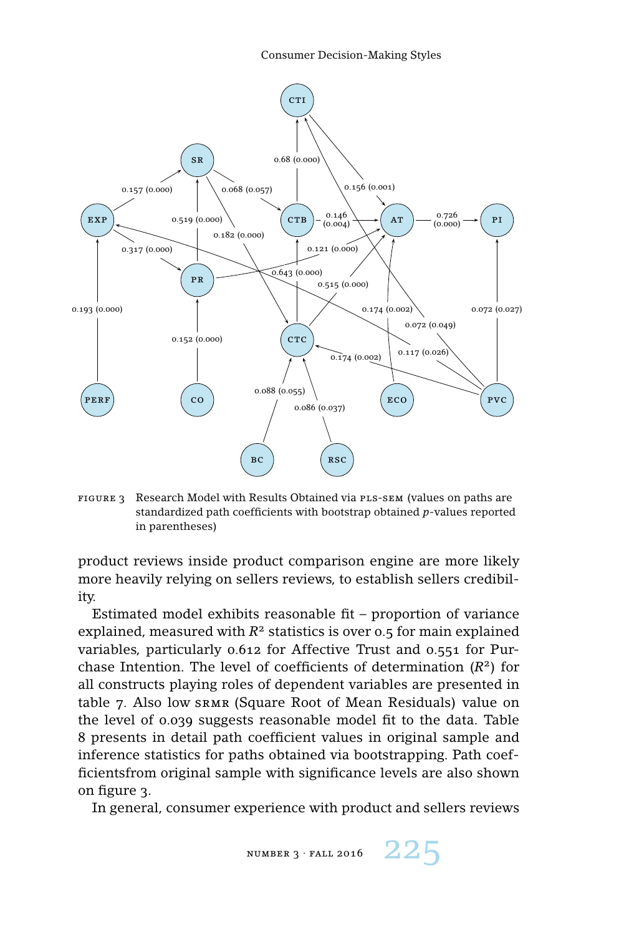

figure 3 Research Model with Results Obtained via pls-sem (values on paths are standardized path coefficients with bootstrap obtained *p*-values reported in parentheses)

product reviews inside product comparison engine are more likely more heavily relying on sellers reviews, to establish sellers credibility.

Estimated model exhibits reasonable fit – proportion of variance explained, measured with  $R^2$  statistics is over 0.5 for main explained variables, particularly 0.612 for Affective Trust and 0.551 for Purchase Intention. The level of coefficients of determination  $(R<sup>2</sup>)$  for all constructs playing roles of dependent variables are presented in table 7. Also low srmr (Square Root of Mean Residuals) value on the level of 0.039 suggests reasonable model fit to the data. Table 8 presents in detail path coefficient values in original sample and inference statistics for paths obtained via bootstrapping. Path coefficientsfrom original sample with significance levels are also shown on figure 3.

In general, consumer experience with product and sellers reviews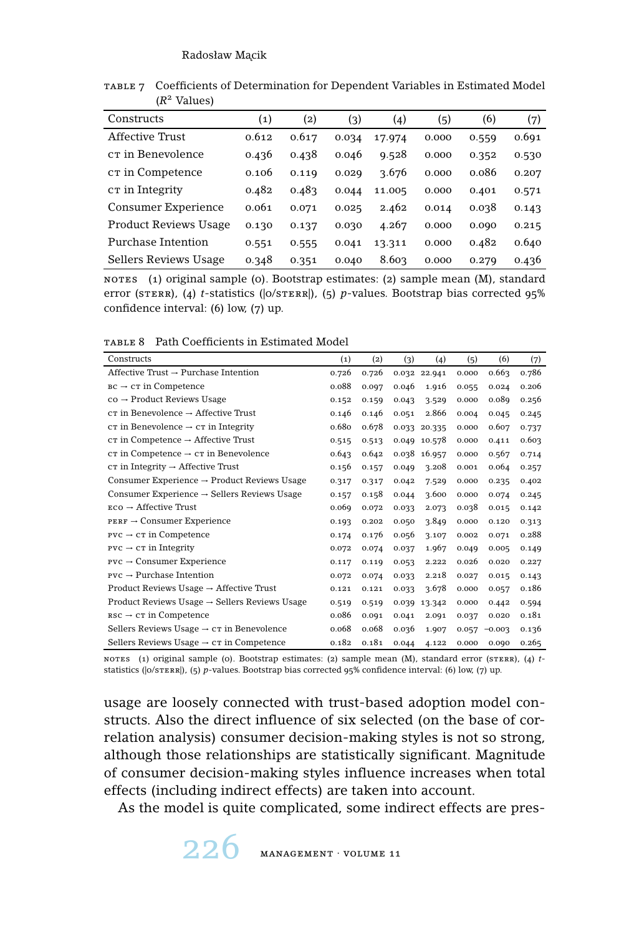| Constructs                   | (1)   | $\left( 2\right)$ | (3)   | (4)    | (5)   | (6)   | (7)   |
|------------------------------|-------|-------------------|-------|--------|-------|-------|-------|
| <b>Affective Trust</b>       | 0.612 | 0.617             | 0.034 | 17.974 | 0.000 | 0.559 | 0.691 |
| CT in Benevolence            | 0.436 | 0.438             | 0.046 | 9.528  | 0.000 | 0.352 | 0.530 |
| CT in Competence             | 0.106 | 0.119             | 0.029 | 3.676  | 0.000 | 0.086 | 0.207 |
| CT in Integrity              | 0.482 | 0.483             | 0.044 | 11.005 | 0.000 | 0.401 | 0.571 |
| Consumer Experience          | 0.061 | 0.071             | 0.025 | 2.462  | 0.014 | 0.038 | 0.143 |
| <b>Product Reviews Usage</b> | 0.130 | 0.137             | 0.030 | 4.267  | 0.000 | 0.090 | 0.215 |
| Purchase Intention           | 0.551 | 0.555             | 0.041 | 13.311 | 0.000 | 0.482 | 0.640 |
| Sellers Reviews Usage        | 0.348 | 0.351             | 0.040 | 8.603  | 0.000 | 0.279 | 0.436 |

table 7 Coefficients of Determination for Dependent Variables in Estimated Model (*R*<sup>2</sup> Values)

nores  $(1)$  original sample (o). Bootstrap estimates: (2) sample mean  $(M)$ , standard error (STERR), (4) *t*-statistics ( $|O/STERR|$ ), (5) *p*-values. Bootstrap bias corrected 95% confidence interval: (6) low, (7) up.

table 8 Path Coefficients in Estimated Model

| Constructs                                                  | (1)   | (2)   | (3)   | (4)          | (5)   | (6)      | (7)   |
|-------------------------------------------------------------|-------|-------|-------|--------------|-------|----------|-------|
| Affective Trust $\rightarrow$ Purchase Intention            | 0.726 | 0.726 |       | 0.032 22.941 | 0.000 | 0.663    | 0.786 |
| $BC \rightarrow CT$ in Competence                           | 0.088 | 0.097 | 0.046 | 1.916        | 0.055 | 0.024    | 0.206 |
| $co \rightarrow$ Product Reviews Usage                      | 0.152 | 0.159 | 0.043 | 3.529        | 0.000 | 0.089    | 0.256 |
| $cr$ in Benevolence $\rightarrow$ Affective Trust           | 0.146 | 0.146 | 0.051 | 2.866        | 0.004 | 0.045    | 0.245 |
| $cr$ in Benevolence $\rightarrow cr$ in Integrity           | 0.680 | 0.678 |       | 0.033 20.335 | 0.000 | 0.607    | 0.737 |
| ст in Competence $\rightarrow$ Affective Trust              | 0.515 | 0.513 |       | 0.049 10.578 | 0.000 | 0.411    | 0.603 |
| $cr$ in Competence $\rightarrow cr$ in Benevolence          | 0.643 | 0.642 |       | 0.038 16.957 | 0.000 | 0.567    | 0.714 |
| $cr$ in Integrity $\rightarrow$ Affective Trust             | 0.156 | 0.157 | 0.049 | 3.208        | 0.001 | 0.064    | 0.257 |
| Consumer Experience $\rightarrow$ Product Reviews Usage     | 0.317 | 0.317 | 0.042 | 7.529        | 0.000 | 0.235    | 0.402 |
| Consumer Experience $\rightarrow$ Sellers Reviews Usage     | 0.157 | 0.158 | 0.044 | 3.600        | 0.000 | 0.074    | 0.245 |
| $\mathbb{R}$ co $\rightarrow$ Affective Trust               | 0.069 | 0.072 | 0.033 | 2.073        | 0.038 | 0.015    | 0.142 |
| <b>PERF</b> $\rightarrow$ Consumer Experience               | 0.193 | 0.202 | 0.050 | 3.849        | 0.000 | 0.120    | 0.313 |
| $PVC \rightarrow CT$ in Competence                          | 0.174 | 0.176 | 0.056 | 3.107        | 0.002 | 0.071    | 0.288 |
| $PVC \rightarrow CT$ in Integrity                           | 0.072 | 0.074 | 0.037 | 1.967        | 0.049 | 0.005    | 0.149 |
| $PVC \rightarrow Consumer$ Experience                       | 0.117 | 0.119 | 0.053 | 2.222        | 0.026 | 0.020    | 0.227 |
| $PVC \rightarrow Purchase Intention$                        | 0.072 | 0.074 | 0.033 | 2.218        | 0.027 | 0.015    | 0.143 |
| Product Reviews Usage $\rightarrow$ Affective Trust         | 0.121 | 0.121 | 0.033 | 3.678        | 0.000 | 0.057    | 0.186 |
| Product Reviews Usage $\rightarrow$ Sellers Reviews Usage   | 0.519 | 0.519 | 0.039 | 13.342       | 0.000 | 0.442    | 0.594 |
| $\texttt{RSC} \rightarrow \texttt{CT}$ in Competence        | 0.086 | 0.091 | 0.041 | 2.091        | 0.037 | 0.020    | 0.181 |
| Sellers Reviews Usage $\rightarrow$ c $\tau$ in Benevolence | 0.068 | 0.068 | 0.036 | 1.907        | 0.057 | $-0.003$ | 0.136 |
| Sellers Reviews Usage $\rightarrow$ cr in Competence        | 0.182 | 0.181 | 0.044 | 4.122        | 0.000 | 0.090    | 0.265 |

notes (1) original sample (o). Bootstrap estimates: (2) sample mean (M), standard error (sterr), (4) *t*statistics ( $|o/sTERR|$ ), (5) *p*-values. Bootstrap bias corrected 95% confidence interval: (6) low, (7) up.

usage are loosely connected with trust-based adoption model constructs. Also the direct influence of six selected (on the base of correlation analysis) consumer decision-making styles is not so strong, although those relationships are statistically significant. Magnitude of consumer decision-making styles influence increases when total effects (including indirect effects) are taken into account.

As the model is quite complicated, some indirect effects are pres-

226 management · volume <sup>11</sup>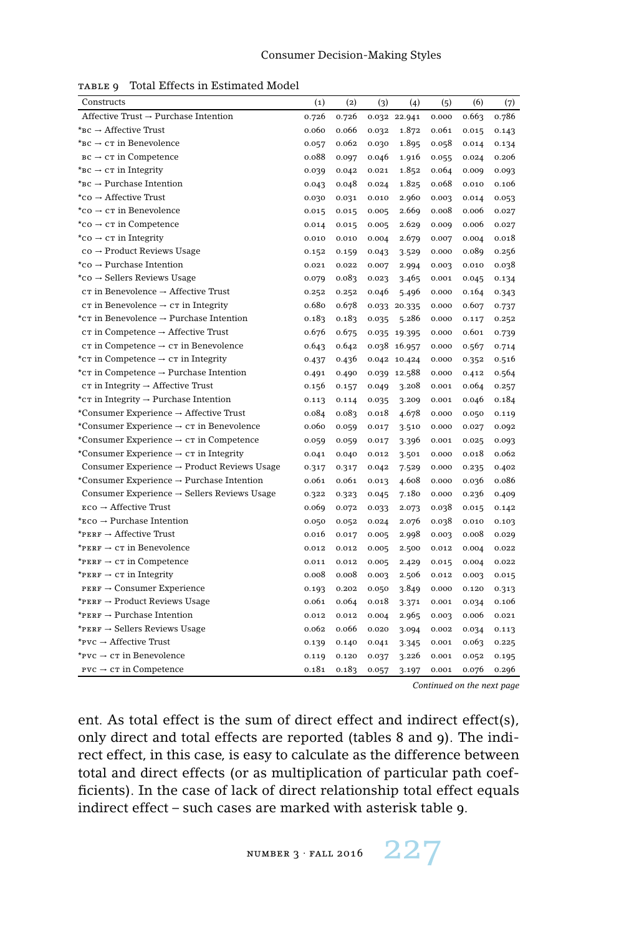TABLE 9 Total Effects in Estimated Model

| Constructs                                                 | (1)   | (2)   | (3)   | (4)          | (5)   | (6)   | (7)   |
|------------------------------------------------------------|-------|-------|-------|--------------|-------|-------|-------|
| Affective Trust $\rightarrow$ Purchase Intention           | 0.726 | 0.726 |       | 0.032 22.941 | 0.000 | 0.663 | 0.786 |
| $*_{BC} \rightarrow$ Affective Trust                       | 0.060 | 0.066 | 0.032 | 1.872        | 0.061 | 0.015 | 0.143 |
| * $BC \rightarrow CT$ in Benevolence                       | 0.057 | 0.062 | 0.030 | 1.895        | 0.058 | 0.014 | 0.134 |
| $BC \rightarrow CT$ in Competence                          | 0.088 | 0.097 | 0.046 | 1.916        | 0.055 | 0.024 | 0.206 |
| * $BC \rightarrow CT$ in Integrity                         | 0.039 | 0.042 | 0.021 | 1.852        | 0.064 | 0.009 | 0.093 |
| * $BC \rightarrow Purchase Intention$                      | 0.043 | 0.048 | 0.024 | 1.825        | 0.068 | 0.010 | 0.106 |
| $*$ co $\rightarrow$ Affective Trust                       | 0.030 | 0.031 | 0.010 | 2.960        | 0.003 | 0.014 | 0.053 |
| $*$ co $\rightarrow$ c $\scriptstyle\rm T$ in Benevolence  | 0.015 | 0.015 | 0.005 | 2.669        | 0.008 | 0.006 | 0.027 |
| $*$ co $\rightarrow$ c $\tau$ in Competence                | 0.014 | 0.015 | 0.005 | 2.629        | 0.009 | 0.006 | 0.027 |
| * $co \rightarrow cr$ in Integrity                         | 0.010 | 0.010 | 0.004 | 2.679        | 0.007 | 0.004 | 0.018 |
| co → Product Reviews Usage                                 | 0.152 | 0.159 | 0.043 | 3.529        | 0.000 | 0.089 | 0.256 |
| *co → Purchase Intention                                   | 0.021 | 0.022 | 0.007 | 2.994        | 0.003 | 0.010 | 0.038 |
| *co -> Sellers Reviews Usage                               | 0.079 | 0.083 | 0.023 | 3.465        | 0.001 | 0.045 | 0.134 |
| $cr$ in Benevolence $\rightarrow$ Affective Trust          | 0.252 | 0.252 | 0.046 | 5.496        | 0.000 | 0.164 | 0.343 |
| $cr$ in Benevolence $\rightarrow cr$ in Integrity          | 0.680 | 0.678 |       | 0.033 20.335 | 0.000 | 0.607 | 0.737 |
| * $c\tau$ in Benevolence $\rightarrow$ Purchase Intention  | 0.183 | 0.183 | 0.035 | 5.286        | 0.000 | 0.117 | 0.252 |
| $cr$ in Competence $\rightarrow$ Affective Trust           | 0.676 | 0.675 |       | 0.035 19.395 | 0.000 | 0.601 | 0.739 |
| ст in Competence $\rightarrow$ ст in Benevolence           | 0.643 | 0.642 |       | 0.038 16.957 | 0.000 | 0.567 | 0.714 |
| * $cr$ in Competence $\rightarrow cr$ in Integrity         | 0.437 | 0.436 |       | 0.042 10.424 | 0.000 | 0.352 | 0.516 |
| *cT in Competence -> Purchase Intention                    | 0.491 | 0.490 |       | 0.039 12.588 | 0.000 | 0.412 | 0.564 |
| $cr$ in Integrity $\rightarrow$ Affective Trust            | 0.156 | 0.157 | 0.049 | 3.208        | 0.001 | 0.064 | 0.257 |
| $*$ c $\tau$ in Integrity $\rightarrow$ Purchase Intention | 0.113 | 0.114 | 0.035 | 3.209        | 0.001 | 0.046 | 0.184 |
| *Consumer Experience $\rightarrow$ Affective Trust         | 0.084 | 0.083 | 0.018 | 4.678        | 0.000 | 0.050 | 0.119 |
| *Consumer Experience $\rightarrow$ c $\tau$ in Benevolence | 0.060 | 0.059 | 0.017 | 3.510        | 0.000 | 0.027 | 0.092 |
| *Consumer Experience $\rightarrow$ c $\tau$ in Competence  | 0.059 | 0.059 | 0.017 | 3.396        | 0.001 | 0.025 | 0.093 |
| *Consumer Experience $\rightarrow$ c $\tau$ in Integrity   | 0.041 | 0.040 | 0.012 | 3.501        | 0.000 | 0.018 | 0.062 |
| Consumer Experience $\rightarrow$ Product Reviews Usage    | 0.317 | 0.317 | 0.042 | 7.529        | 0.000 | 0.235 | 0.402 |
| *Consumer Experience $\rightarrow$ Purchase Intention      | 0.061 | 0.061 | 0.013 | 4.608        | 0.000 | 0.036 | 0.086 |
| Consumer Experience $\rightarrow$ Sellers Reviews Usage    | 0.322 | 0.323 | 0.045 | 7.180        | 0.000 | 0.236 | 0.409 |
| $\text{\textsf{Eco}} \rightarrow \text{Afteritive Trust}$  | 0.069 | 0.072 | 0.033 | 2.073        | 0.038 | 0.015 | 0.142 |
| $*_{\text{ECO}}$ $\rightarrow$ Purchase Intention          | 0.050 | 0.052 | 0.024 | 2.076        | 0.038 | 0.010 | 0.103 |
| * $F_{\texttt{ERF}} \rightarrow \text{Affective Trust}$    | 0.016 | 0.017 | 0.005 | 2.998        | 0.003 | 0.008 | 0.029 |
| $*_{\texttt{PERF}} \rightarrow c\tau$ in Benevolence       | 0.012 | 0.012 | 0.005 | 2.500        | 0.012 | 0.004 | 0.022 |
| *PERF $\rightarrow$ CT in Competence                       | 0.011 | 0.012 | 0.005 | 2.429        | 0.015 | 0.004 | 0.022 |
| * $PERT \rightarrow CT$ in Integrity                       | 0.008 | 0.008 | 0.003 | 2.506        | 0.012 | 0.003 | 0.015 |
| <b>PERF</b> $\rightarrow$ Consumer Experience              | 0.193 | 0.202 | 0.050 | 3.849        | 0.000 | 0.120 | 0.313 |
| $*_{\tt PERT} \rightarrow$ Product Reviews Usage           | 0.061 | 0.064 | 0.018 | 3.371        | 0.001 | 0.034 | 0.106 |
| $*_{\text{PERF}} \rightarrow$ Purchase Intention           | 0.012 | 0.012 | 0.004 | 2.965        | 0.003 | 0.006 | 0.021 |
| *PERF -> Sellers Reviews Usage                             | 0.062 | 0.066 | 0.020 | 3.094        | 0.002 | 0.034 | 0.113 |
| * $\mathsf{PVC} \rightarrow \mathsf{Affective\; Trust}$    | 0.139 | 0.140 | 0.041 | 3.345        | 0.001 | 0.063 | 0.225 |
| * $\texttt{PVC} \rightarrow \texttt{CT}$ in Benevolence    | 0.119 | 0.120 | 0.037 | 3.226        | 0.001 | 0.052 | 0.195 |
| $PVC \rightarrow CT$ in Competence                         | 0.181 | 0.183 | 0.057 | 3.197        | 0.001 | 0.076 | 0.296 |

*Continued on the next page*

ent. As total effect is the sum of direct effect and indirect effect(s), only direct and total effects are reported (tables 8 and 9). The indirect effect, in this case, is easy to calculate as the difference between total and direct effects (or as multiplication of particular path coefficients). In the case of lack of direct relationship total effect equals indirect effect – such cases are marked with asterisk table 9.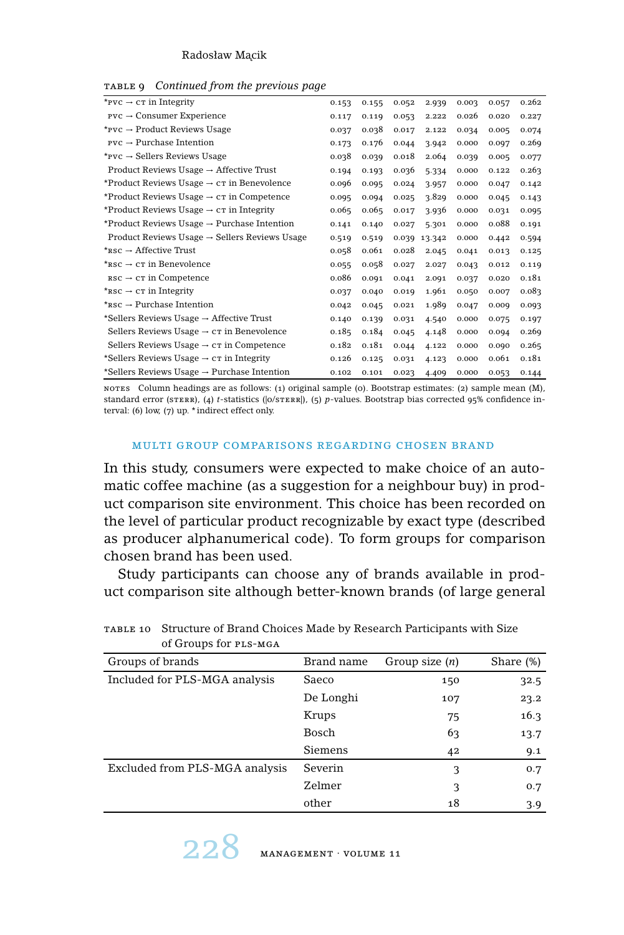|  | TABLE 9 Continued from the previous page |  |  |  |  |
|--|------------------------------------------|--|--|--|--|
|--|------------------------------------------|--|--|--|--|

| * $PVC \rightarrow CT$ in Integrity                         | 0.153 | 0.155 | 0.052 | 2.939  | 0.003 | 0.057 | 0.262 |
|-------------------------------------------------------------|-------|-------|-------|--------|-------|-------|-------|
| $PVC \rightarrow Consumer$ Experience                       | 0.117 | 0.119 | 0.053 | 2.222  | 0.026 | 0.020 | 0.227 |
| * $\texttt{PVC} \rightarrow \texttt{Product}$ Reviews Usage | 0.037 | 0.038 | 0.017 | 2.122  | 0.034 | 0.005 | 0.074 |
| $PVC \rightarrow Purchase Intention$                        | 0.173 | 0.176 | 0.044 | 3.942  | 0.000 | 0.097 | 0.269 |
| * $\texttt{PVC} \rightarrow$ Sellers Reviews Usage          | 0.038 | 0.039 | 0.018 | 2.064  | 0.039 | 0.005 | 0.077 |
| Product Reviews Usage $\rightarrow$ Affective Trust         | 0.194 | 0.193 | 0.036 | 5.334  | 0.000 | 0.122 | 0.263 |
| *Product Reviews Usage $\rightarrow$ cr in Benevolence      | 0.096 | 0.095 | 0.024 | 3.957  | 0.000 | 0.047 | 0.142 |
| *Product Reviews Usage $\rightarrow$ cr in Competence       | 0.095 | 0.094 | 0.025 | 3.829  | 0.000 | 0.045 | 0.143 |
| *Product Reviews Usage $\rightarrow$ c $\tau$ in Integrity  | 0.065 | 0.065 | 0.017 | 3.936  | 0.000 | 0.031 | 0.095 |
| *Product Reviews Usage $\rightarrow$ Purchase Intention     | 0.141 | 0.140 | 0.027 | 5.301  | 0.000 | 0.088 | 0.191 |
| Product Reviews Usage $\rightarrow$ Sellers Reviews Usage   | 0.519 | 0.519 | 0.039 | 13.342 | 0.000 | 0.442 | 0.594 |
| * $\texttt{RSC} \rightarrow \text{Afteritive Trust}$        | 0.058 | 0.061 | 0.028 | 2.045  | 0.041 | 0.013 | 0.125 |
| * $\texttt{RSC} \rightarrow \texttt{CT}$ in Benevolence     | 0.055 | 0.058 | 0.027 | 2.027  | 0.043 | 0.012 | 0.119 |
| $\texttt{RSC} \rightarrow \texttt{CT}$ in Competence        | 0.086 | 0.091 | 0.041 | 2.091  | 0.037 | 0.020 | 0.181 |
| * $\texttt{RSC} \rightarrow \texttt{CT}$ in Integrity       | 0.037 | 0.040 | 0.019 | 1.961  | 0.050 | 0.007 | 0.083 |
| * $\texttt{RSC} \rightarrow$ Purchase Intention             | 0.042 | 0.045 | 0.021 | 1.989  | 0.047 | 0.009 | 0.093 |
| *Sellers Reviews Usage $\rightarrow$ Affective Trust        | 0.140 | 0.139 | 0.031 | 4.540  | 0.000 | 0.075 | 0.197 |
| Sellers Reviews Usage $\rightarrow$ cr in Benevolence       | 0.185 | 0.184 | 0.045 | 4.148  | 0.000 | 0.094 | 0.269 |
| Sellers Reviews Usage $\rightarrow$ cr in Competence        | 0.182 | 0.181 | 0.044 | 4.122  | 0.000 | 0.090 | 0.265 |
| *Sellers Reviews Usage $\rightarrow$ cr in Integrity        | 0.126 | 0.125 | 0.031 | 4.123  | 0.000 | 0.061 | 0.181 |
| *Sellers Reviews Usage - Purchase Intention                 | 0.102 | 0.101 | 0.023 | 4.409  | 0.000 | 0.053 | 0.144 |

notes Column headings are as follows: (1) original sample (o). Bootstrap estimates: (2) sample mean (M), standard error (STERR), (4) *t*-statistics (|o/STERR|), (5) *p*-values. Bootstrap bias corrected 95% confidence interval: (6) low, (7) up. \* indirect effect only.

## multi group comparisons regarding chosen brand

In this study, consumers were expected to make choice of an automatic coffee machine (as a suggestion for a neighbour buy) in product comparison site environment. This choice has been recorded on the level of particular product recognizable by exact type (described as producer alphanumerical code). To form groups for comparison chosen brand has been used.

Study participants can choose any of brands available in product comparison site although better-known brands (of large general

| Groups of brands               | Brand name | Group size $(n)$ | Share (%) |
|--------------------------------|------------|------------------|-----------|
| Included for PLS-MGA analysis  | Saeco      | 150              | 32.5      |
|                                | De Longhi  | 107              | 23.2      |
|                                | Krups      | 75               | 16.3      |
|                                | Bosch      | 63               | 13.7      |
|                                | Siemens    | 42               | 9.1       |
| Excluded from PLS-MGA analysis | Severin    | 3                | 0.7       |
|                                | Zelmer     | 3                | 0.7       |
|                                | other      | 18               | 3.9       |

| TABLE 10 Structure of Brand Choices Made by Research Participants with Size |
|-----------------------------------------------------------------------------|
| of Groups for PLS-MGA                                                       |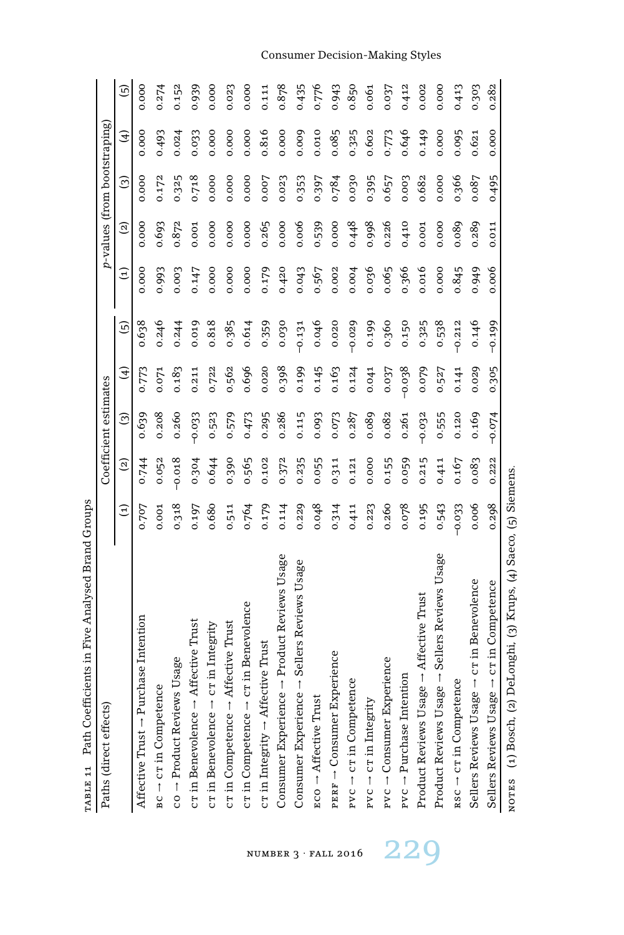| ١<br>$\mathbf{I}$                   |  |
|-------------------------------------|--|
|                                     |  |
| $\ddotsc$<br>i<br>ا من مغمد تم<br>i |  |
| C                                   |  |
| ī                                   |  |

| Paths (direct effects)                                              |          |          | Coefficient estimates |               |          |               | $p$ -values (from bootstraping) |       |                         |                        |
|---------------------------------------------------------------------|----------|----------|-----------------------|---------------|----------|---------------|---------------------------------|-------|-------------------------|------------------------|
|                                                                     | Ξ        | ହ        | ව                     | $\widehat{f}$ | ල        | $\widehat{E}$ | ହ                               | ම     | $\widehat{\mathcal{F}}$ | $\widehat{\mathbf{e}}$ |
| Affective Trust $\rightarrow$ Purchase Intention                    | 0.707    | 0.744    | 0.639                 | 0.773         | 0.638    | 0.000         | 0.000                           | 0.000 | 0.000                   | 0.000                  |
| $BC \rightarrow CT$ in Competence                                   | 0.001    | 0.052    | 0.208                 | 0.071         | 0.246    | 0.993         | 0.693                           | 0.172 | 0.493                   | 0.274                  |
| $co \rightarrow Product$ Reviews Usage                              | 0.318    | $-0.018$ | 0.260                 | 0.183         | 0.244    | 0.003         | 0.872                           | 0.325 | 0.024                   | 0.152                  |
| Affective Trust<br>$cr$ in Benevolence $\rightarrow$                | 0.197    | 0.304    | $-0.033$              | 0.211         | 0.019    | 0.147         | 0.001                           | 0.718 | 0.033                   | 0.939                  |
| CT in Integrity<br>$cr$ in Benevolence $\rightarrow$                | 0.680    | 0.644    | 0.523                 | 0.722         | 0.818    | 0.000         | 0.000                           | 0.000 | 0.000                   | 0.000                  |
| Affective Trust<br>cr in Competence $\rightarrow$                   | 0.511    | 0.390    | 0.579                 | 0.562         | 0.385    | 0.000         | 0.000                           | 0.000 | 0.000                   | 0.023                  |
| Cr in Benevolence<br>cr in Competence $\rightarrow$                 | 0.764    | 0.565    | 0.473                 | 0.696         | 0.614    | 0.000         | 0.000                           | 0.000 | 0.000                   | 0.000                  |
| $cr$ in Integrity $\rightarrow$ Affective Trust                     | 0.179    | 0.102    | 0.295                 | 0.020         | 0.359    | 0.179         | 0.265                           | 0.007 | 0.816                   | 0.111                  |
| -> Product Reviews Usage<br>$\mathbf 0$<br>Consumer Experienc       | 0.114    | 0.372    | 0.286                 | 0.398         | 0.030    | 0.420         | 0.000                           | 0.023 | 0.000                   | 0.878                  |
| Sellers Reviews Usage<br>$\uparrow$<br>Consumer Experience          | 0.229    | 0.235    | 0.115                 | 0.199         | $-0.131$ | 0.043         | 0.006                           | 0.353 | 0.009                   | 0.435                  |
| $_{\rm ECO}\rightarrow$ Affective Trust                             | 0.048    | 0.055    | 0.093                 | 0.145         | 0.046    | 0.567         | 0.539                           | 0.397 | 0.010                   | 0.776                  |
| $PERF \rightarrow Consumer$ Experience                              | 0.314    | 0.311    | 0.073                 | 0.163         | 0.020    | 0.002         | 0.000                           | 0.784 | 0.085                   | 0.943                  |
| $PVC \rightarrow CT$ in Competence                                  | 0.411    | 0.121    | 0.287                 | 0.124         | $-0.029$ | 0.004         | 0.448                           | 0.030 | 0.325                   | 0.850                  |
| $\texttt{PVC} \rightarrow \texttt{CT}$ in Integrity                 | 0.223    | 0.000    | 0.089                 | 0.041         | 0.199    | 0.036         | 0.998                           | 0.395 | 0.602                   | 0.061                  |
| $\texttt{pvc} \rightarrow \text{Consumer~Experience}$               | 0.260    | 0.155    | 0.082                 | 0.037         | 0.360    | 0.065         | 0.226                           | 0.657 | 0.773                   | 0.037                  |
| $PVC \rightarrow Purchase Intention$                                | 0.078    | 0.059    | 0.261                 | $-0.038$      | 0.150    | 0.366         | 0.410                           | 0.003 | 0.646                   | 0.412                  |
| $age \rightarrow Afterctive Trust$<br>Product Reviews Usa           | 0.195    | 0.215    | $-0.032$              | 0.079         | 0.325    | 0.016         | 0.001                           | 0.682 | 0.149                   | 0.002                  |
| Sellers Reviews Usage<br>Product Reviews Usage -                    | 0.543    | 0.411    | 0.555                 | 0.527         | 0.538    | 0.000         | 0.000                           | 0.000 | 0.000                   | 0.000                  |
| $\texttt{RSC} \rightarrow \texttt{CT}$ in Competence                | $-0.033$ | 0.167    | 0.120                 | 0.141         | $-0.212$ | 0.845         | 0.089                           | 0.366 | 0.095                   | 0.413                  |
| Sellers Reviews Usage - cr in Benevolence                           | 0.006    | 0.083    | 0.169                 | 0.029         | 0.146    | 0.949         | 0.289                           | 0.087 | 0.621                   | 0.303                  |
| Sellers Reviews Usage - cr in Competence                            | 0.298    | 0.222    | $-0.074$              | 0.305         | $-0.199$ | 0.006         | 0.011                           | 0.495 | 0.000                   | 0.282                  |
| DeLonghi, (3) Krups, (4) Saeco, (5) Siemens<br>NOTES (1) Bosch, (2) |          |          |                       |               |          |               |                                 |       |                         |                        |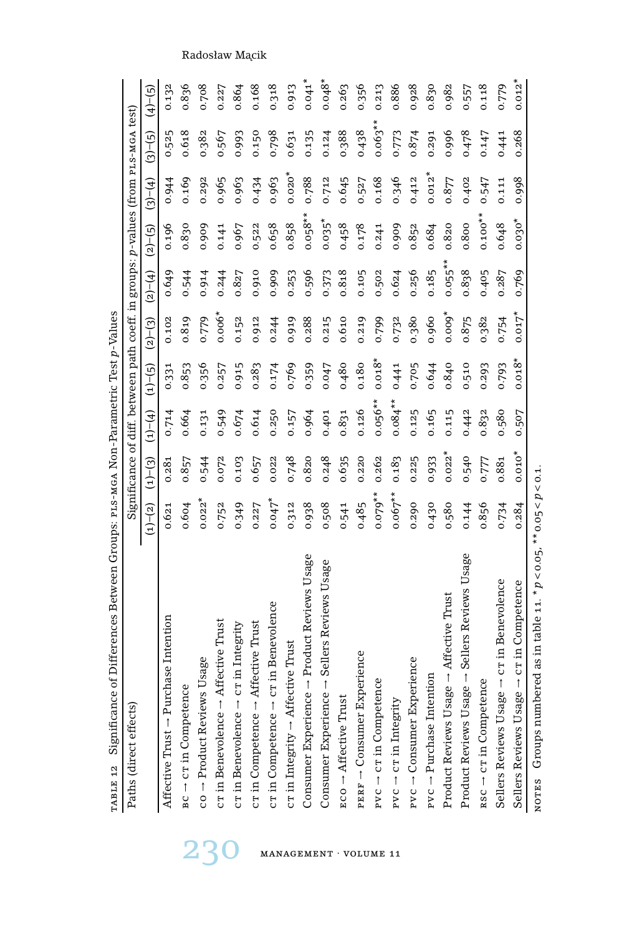| Paths (direct effects)                                                   |                      |             |            |           |           |            |           |           | Significance of diff. between path coeff. in groups: p-values (from PLS-MGA test) |                      |
|--------------------------------------------------------------------------|----------------------|-------------|------------|-----------|-----------|------------|-----------|-----------|-----------------------------------------------------------------------------------|----------------------|
|                                                                          | $(1)-(2)$            | $(1) - (3)$ | $(1)-(4)$  | $(1)-(5)$ | $(2)-(3)$ | $(2)-(4)$  | $(2)-(5)$ | $(3)-(4)$ | $(3)-(5)$                                                                         | $(4)-(5)$            |
| urchase Intention<br>Affective Trust $\rightarrow$ P                     | 0.621                | 0.281       | 0.714      | 0.331     | 0.102     | 0.649      | 0.196     | 0.944     | 0.525                                                                             | 0.132                |
| $BC \rightarrow CT$ in Competence                                        | 0.604                | 0.857       | 0.664      | 0.853     | 0.819     | 0.544      | 0.830     | 0.169     | 0.618                                                                             | 0.836                |
| co - Product Reviews Usage                                               | $0.022*$             | 0.544       | 0.131      | 0.356     | 0.779     | 0.914      | 0.909     | 0.292     | 0.382                                                                             | 0.708                |
| $c\,r$ in Benevolence $\rightarrow$ Affective Trust                      | 0.752                | 0.072       | 0.549      | 0.257     | $0.006*$  | 0.244      | 0.141     | 0.965     | 0.567                                                                             | 0.227                |
| CT in Integrity<br>ст in Benevolence $\rightarrow$                       | 0.349                | 0.103       | 0.674      | 0.915     | 0.152     | 0.827      | 0.967     | 0.963     | 0.993                                                                             | 0.864                |
| Affective Trust<br>$cr$ in Competence $\rightarrow$                      | 0.227                | 0.657       | 0.614      | 0.283     | 0.912     | 0.910      | 0.522     | 0.434     | 0.150                                                                             | 0.168                |
| CT in Benevolence<br>cr in Competence $\rightarrow$                      | $0.047$ <sup>*</sup> | 0.022       | 0.250      | 0.174     | 0.244     | 0.909      | 0.658     | 0.963     | 0.798                                                                             | 0.318                |
| $c\text{-r}$ in Integrity $\rightarrow$ Affective Trust                  | 0.312                | 0.748       | 0.157      | 0.769     | 0.919     | 0.253      | 0.858     | $0.020*$  | 0.631                                                                             | 0.913                |
| Consumer Experience $\rightarrow$ Product Reviews Usage                  | 0.938                | 0.820       | 0.964      | 0.359     | 0.288     | 0.596      | $0.058**$ | 0.788     | 0.135                                                                             | $0.041$ <sup>*</sup> |
| Consumer Experience $\rightarrow$ Sellers Reviews Usage                  | 0.508                | 0.248       | 0.401      | 0.047     | 0.215     | 0.373      | $0.035*$  | 0.712     | 0.124                                                                             | $0.048*$             |
| $\texttt{rco} \rightarrow \text{AfterCure Trust}$                        | 0.541                | 0.635       | 0.831      | 0.480     | 0.610     | 0.818      | 0.458     | 0.645     | 0.388                                                                             | 0.263                |
| $PERF \rightarrow Consumer$ Experience                                   | 0.485                | 0.220       | 0.126      | 0.180     | 0.219     | 0.105      | 0.178     | 0.527     | 0.438                                                                             | 0.356                |
| $\texttt{PVC} \rightarrow \texttt{CT}$ in Competence                     | $0.079**$            | 0.262       | $0.056**$  | $0.018*$  | 0.799     | 0.502      | 0.241     | 0.168     | $0.063***$                                                                        | 0.213                |
| $PVC \rightarrow CT$ in Integrity                                        | $0.067***$           | 0.183       | $0.084***$ | 0.441     | 0.732     | 0.624      | 0.909     | 0.346     | 0.773                                                                             | 0.886                |
| $\texttt{PVC} \rightarrow \text{Consumer Experience}$                    | 0.290                | 0.225       | 0.125      | 0.705     | 0.380     | 0.256      | 0.852     | 0.412     | 0.874                                                                             | 0.928                |
| ention<br>$PVC \rightarrow Purchase Int$                                 | 0.430                | 0.933       | 0.165      | 0.644     | 0.960     | 0.185      | 0.684     | $0.012*$  | 0.291                                                                             | 0.830                |
| Product Reviews Usage -> Affective Trust                                 | 0.580                | $0.022*$    | 0.115      | 0.840     | $0.009*$  | $0.055***$ | 0.820     | 0.877     | 0.996                                                                             | 0.982                |
| Product Reviews Usage -> Sellers Reviews Usage                           | 0.144                | 0.540       | 0.442      | 0.510     | 0.875     | 0.838      | 0.800     | 0.402     | 0.478                                                                             | 0.557                |
| $\texttt{RSC} \rightarrow \texttt{CT}$ in Competence                     | 0.856                | 0.777       | 0.832      | 0.293     | 0.382     | 0.405      | $0.100**$ | 0.547     | 0.147                                                                             | 0.118                |
| cr in Benevolence<br>e →<br>Sellers Reviews Usa                          | 0.734                | 0.881       | 0.580      | 0.793     | 0.754     | 0.287      | 0.648     | 0.111     | 0.441                                                                             | 0.779                |
| cr in Competence<br>Sellers Reviews Usage -                              | 0.284                | $0.010*$    | 0.507      | $0.018*$  | $0.017*$  | 0.769      | $0.030*$  | 0.998     | 0.268                                                                             | $0.012*$             |
| NOTES Groups numbered as in table 11. * $p < 0.05$ , ** $0.05 < p < 0.1$ |                      |             |            |           |           |            |           |           |                                                                                   |                      |

TABLE 12 Significance of Differences Between Groups: PLS-MGA NOn-Parametric Test  $p$ -Values table 12 Significance of Differences Between Groups: pls-mga Non-Parametric Test *p*-Values

230 management · volume <sup>11</sup>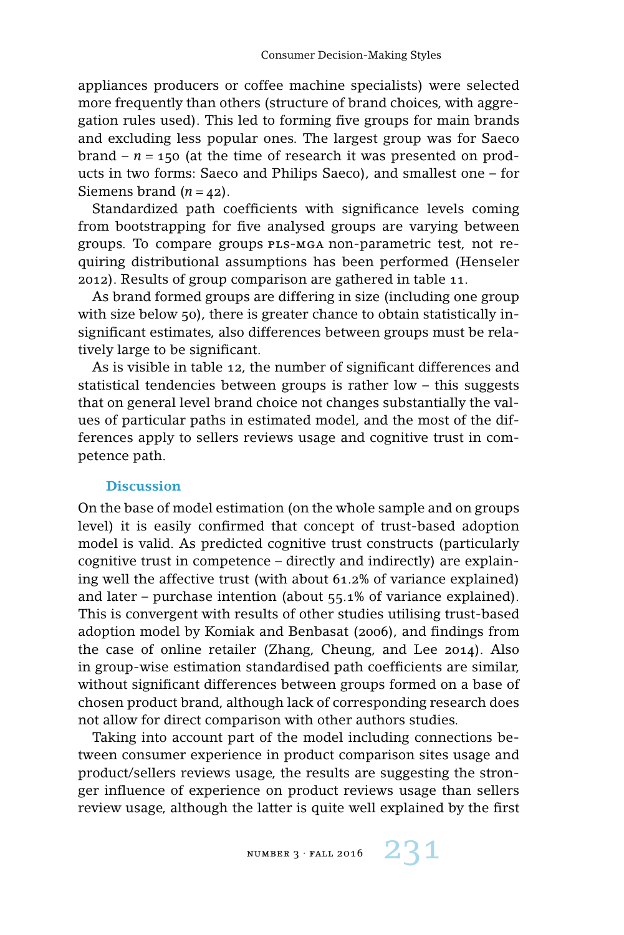appliances producers or coffee machine specialists) were selected more frequently than others (structure of brand choices, with aggregation rules used). This led to forming five groups for main brands and excluding less popular ones. The largest group was for Saeco brand  $- n = 150$  (at the time of research it was presented on products in two forms: Saeco and Philips Saeco), and smallest one – for Siemens brand  $(n = 42)$ .

Standardized path coefficients with significance levels coming from bootstrapping for five analysed groups are varying between groups. To compare groups PLS-MGA non-parametric test, not requiring distributional assumptions has been performed (Henseler 2012). Results of group comparison are gathered in table 11.

As brand formed groups are differing in size (including one group with size below 50), there is greater chance to obtain statistically insignificant estimates, also differences between groups must be relatively large to be significant.

As is visible in table 12, the number of significant differences and statistical tendencies between groups is rather low – this suggests that on general level brand choice not changes substantially the values of particular paths in estimated model, and the most of the differences apply to sellers reviews usage and cognitive trust in competence path.

#### **Discussion**

On the base of model estimation (on the whole sample and on groups level) it is easily confirmed that concept of trust-based adoption model is valid. As predicted cognitive trust constructs (particularly cognitive trust in competence – directly and indirectly) are explaining well the affective trust (with about 61.2% of variance explained) and later – purchase intention (about 55.1% of variance explained). This is convergent with results of other studies utilising trust-based adoption model by Komiak and Benbasat (2006), and findings from the case of online retailer (Zhang, Cheung, and Lee 2014). Also in group-wise estimation standardised path coefficients are similar, without significant differences between groups formed on a base of chosen product brand, although lack of corresponding research does not allow for direct comparison with other authors studies.

Taking into account part of the model including connections between consumer experience in product comparison sites usage and product/sellers reviews usage, the results are suggesting the stronger influence of experience on product reviews usage than sellers review usage, although the latter is quite well explained by the first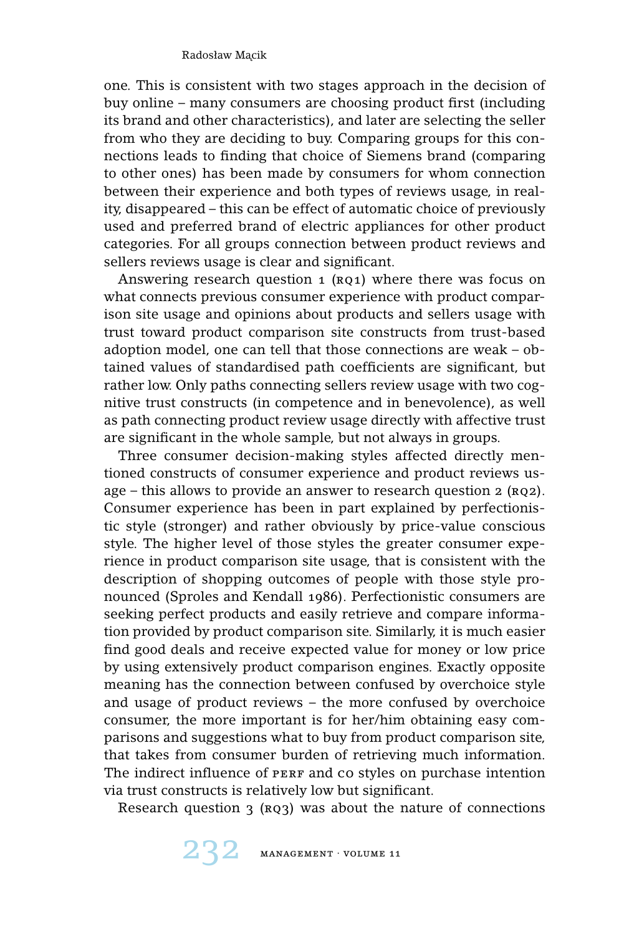one. This is consistent with two stages approach in the decision of buy online – many consumers are choosing product first (including its brand and other characteristics), and later are selecting the seller from who they are deciding to buy. Comparing groups for this connections leads to finding that choice of Siemens brand (comparing to other ones) has been made by consumers for whom connection between their experience and both types of reviews usage, in reality, disappeared – this can be effect of automatic choice of previously used and preferred brand of electric appliances for other product categories. For all groups connection between product reviews and sellers reviews usage is clear and significant.

Answering research question  $1 \text{ (RQ1)}$  where there was focus on what connects previous consumer experience with product comparison site usage and opinions about products and sellers usage with trust toward product comparison site constructs from trust-based adoption model, one can tell that those connections are weak – obtained values of standardised path coefficients are significant, but rather low. Only paths connecting sellers review usage with two cognitive trust constructs (in competence and in benevolence), as well as path connecting product review usage directly with affective trust are significant in the whole sample, but not always in groups.

Three consumer decision-making styles affected directly mentioned constructs of consumer experience and product reviews usage – this allows to provide an answer to research question  $2$  ( $RQ2$ ). Consumer experience has been in part explained by perfectionistic style (stronger) and rather obviously by price-value conscious style. The higher level of those styles the greater consumer experience in product comparison site usage, that is consistent with the description of shopping outcomes of people with those style pronounced (Sproles and Kendall 1986). Perfectionistic consumers are seeking perfect products and easily retrieve and compare information provided by product comparison site. Similarly, it is much easier find good deals and receive expected value for money or low price by using extensively product comparison engines. Exactly opposite meaning has the connection between confused by overchoice style and usage of product reviews – the more confused by overchoice consumer, the more important is for her/him obtaining easy comparisons and suggestions what to buy from product comparison site, that takes from consumer burden of retrieving much information. The indirect influence of PERF and co styles on purchase intention via trust constructs is relatively low but significant.

Research question  $3$  ( $RQ3$ ) was about the nature of connections

232 management · volume <sup>11</sup>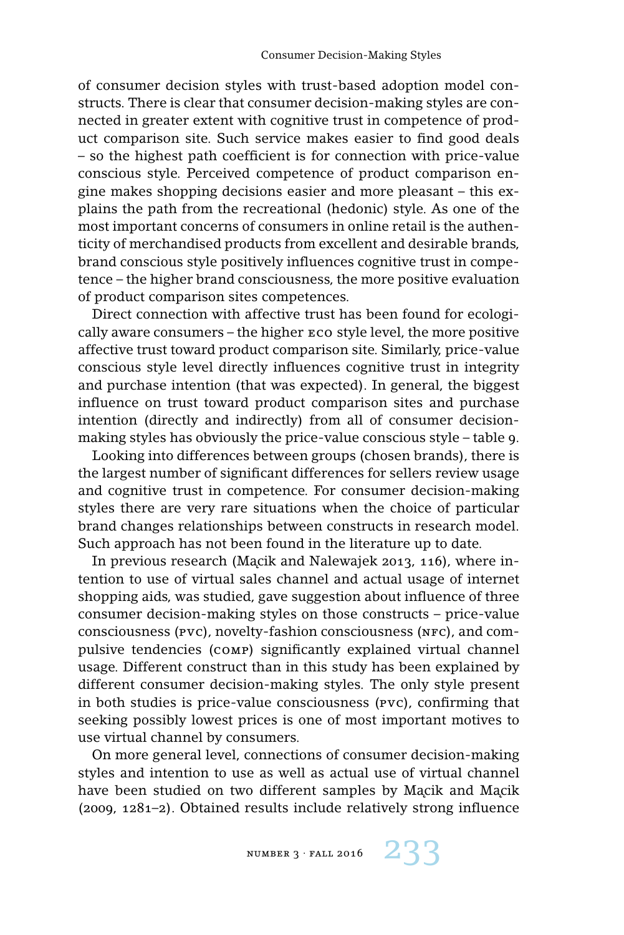of consumer decision styles with trust-based adoption model constructs. There is clear that consumer decision-making styles are connected in greater extent with cognitive trust in competence of product comparison site. Such service makes easier to find good deals – so the highest path coefficient is for connection with price-value conscious style. Perceived competence of product comparison engine makes shopping decisions easier and more pleasant – this explains the path from the recreational (hedonic) style. As one of the most important concerns of consumers in online retail is the authenticity of merchandised products from excellent and desirable brands, brand conscious style positively influences cognitive trust in competence – the higher brand consciousness, the more positive evaluation of product comparison sites competences.

Direct connection with affective trust has been found for ecologically aware consumers – the higher eco style level, the more positive affective trust toward product comparison site. Similarly, price-value conscious style level directly influences cognitive trust in integrity and purchase intention (that was expected). In general, the biggest influence on trust toward product comparison sites and purchase intention (directly and indirectly) from all of consumer decisionmaking styles has obviously the price-value conscious style – table 9.

Looking into differences between groups (chosen brands), there is the largest number of significant differences for sellers review usage and cognitive trust in competence. For consumer decision-making styles there are very rare situations when the choice of particular brand changes relationships between constructs in research model. Such approach has not been found in the literature up to date.

In previous research (Macik and Nalewajek 2013, 116), where intention to use of virtual sales channel and actual usage of internet shopping aids, was studied, gave suggestion about influence of three consumer decision-making styles on those constructs – price-value consciousness (pvc), novelty-fashion consciousness (nfc), and compulsive tendencies (comp) significantly explained virtual channel usage. Different construct than in this study has been explained by different consumer decision-making styles. The only style present in both studies is price-value consciousness (pvc), confirming that seeking possibly lowest prices is one of most important motives to use virtual channel by consumers.

On more general level, connections of consumer decision-making styles and intention to use as well as actual use of virtual channel have been studied on two different samples by Macik and Macik (2009, 1281–2). Obtained results include relatively strong influence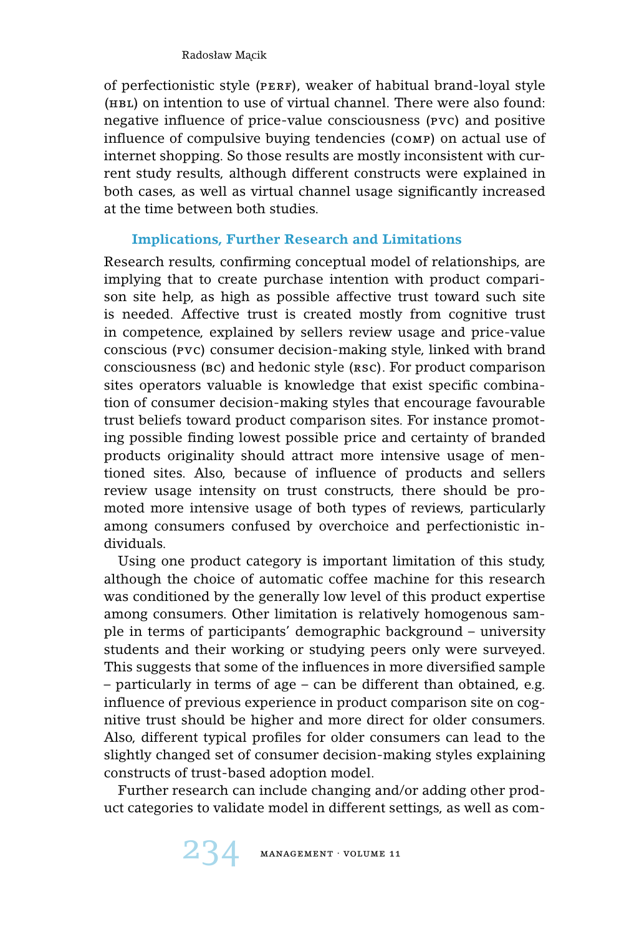of perfectionistic style (PERF), weaker of habitual brand-loyal style (hbl) on intention to use of virtual channel. There were also found: negative influence of price-value consciousness (pvc) and positive influence of compulsive buying tendencies (comp) on actual use of internet shopping. So those results are mostly inconsistent with current study results, although different constructs were explained in both cases, as well as virtual channel usage significantly increased at the time between both studies.

# **Implications, Further Research and Limitations**

Research results, confirming conceptual model of relationships, are implying that to create purchase intention with product comparison site help, as high as possible affective trust toward such site is needed. Affective trust is created mostly from cognitive trust in competence, explained by sellers review usage and price-value conscious (pvc) consumer decision-making style, linked with brand consciousness (BC) and hedonic style (RSC). For product comparison sites operators valuable is knowledge that exist specific combination of consumer decision-making styles that encourage favourable trust beliefs toward product comparison sites. For instance promoting possible finding lowest possible price and certainty of branded products originality should attract more intensive usage of mentioned sites. Also, because of influence of products and sellers review usage intensity on trust constructs, there should be promoted more intensive usage of both types of reviews, particularly among consumers confused by overchoice and perfectionistic individuals.

Using one product category is important limitation of this study, although the choice of automatic coffee machine for this research was conditioned by the generally low level of this product expertise among consumers. Other limitation is relatively homogenous sample in terms of participants' demographic background – university students and their working or studying peers only were surveyed. This suggests that some of the influences in more diversified sample – particularly in terms of age – can be different than obtained, e.g. influence of previous experience in product comparison site on cognitive trust should be higher and more direct for older consumers. Also, different typical profiles for older consumers can lead to the slightly changed set of consumer decision-making styles explaining constructs of trust-based adoption model.

Further research can include changing and/or adding other product categories to validate model in different settings, as well as com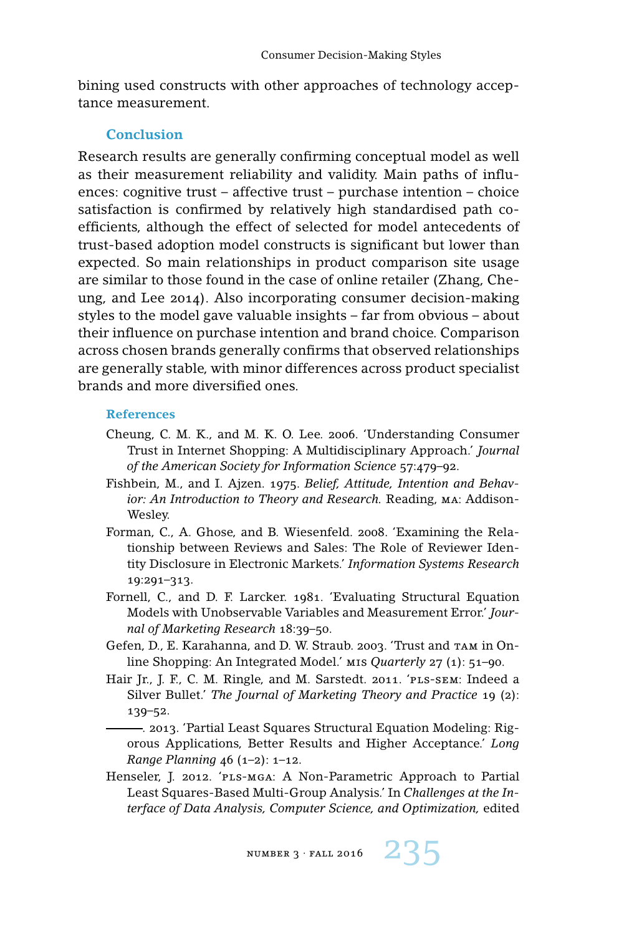bining used constructs with other approaches of technology acceptance measurement.

## **Conclusion**

Research results are generally confirming conceptual model as well as their measurement reliability and validity. Main paths of influences: cognitive trust – affective trust – purchase intention – choice satisfaction is confirmed by relatively high standardised path coefficients, although the effect of selected for model antecedents of trust-based adoption model constructs is significant but lower than expected. So main relationships in product comparison site usage are similar to those found in the case of online retailer (Zhang, Cheung, and Lee 2014). Also incorporating consumer decision-making styles to the model gave valuable insights – far from obvious – about their influence on purchase intention and brand choice. Comparison across chosen brands generally confirms that observed relationships are generally stable, with minor differences across product specialist brands and more diversified ones.

## **References**

- Cheung, C. M. K., and M. K. O. Lee. 2006. 'Understanding Consumer Trust in Internet Shopping: A Multidisciplinary Approach.' *Journal of the American Society for Information Science* 57:479–92.
- Fishbein, M., and I. Ajzen. 1975. *Belief, Attitude, Intention and Behavior: An Introduction to Theory and Research.* Reading, ma: Addison-Wesley.
- Forman, C., A. Ghose, and B. Wiesenfeld. 2008. 'Examining the Relationship between Reviews and Sales: The Role of Reviewer Identity Disclosure in Electronic Markets.' *Information Systems Research* 19:291–313.
- Fornell, C., and D. F. Larcker. 1981. 'Evaluating Structural Equation Models with Unobservable Variables and Measurement Error.' *Journal of Marketing Research* 18:39–50.
- Gefen, D., E. Karahanna, and D. W. Straub. 2003. 'Trust and TAM in Online Shopping: An Integrated Model.' mis *Quarterly* 27 (1): 51–90.
- Hair Jr., J. F., C. M. Ringle, and M. Sarstedt. 2011. 'PLS-SEM: Indeed a Silver Bullet.' *The Journal of Marketing Theory and Practice* 19 (2): 139–52.

. 2013. 'Partial Least Squares Structural Equation Modeling: Rigorous Applications, Better Results and Higher Acceptance.' *Long Range Planning* 46 (1–2): 1–12.

Henseler, J. 2012. 'PLS-MGA: A Non-Parametric Approach to Partial Least Squares-Based Multi-Group Analysis.' In *Challenges at the Interface of Data Analysis, Computer Science, and Optimization,* edited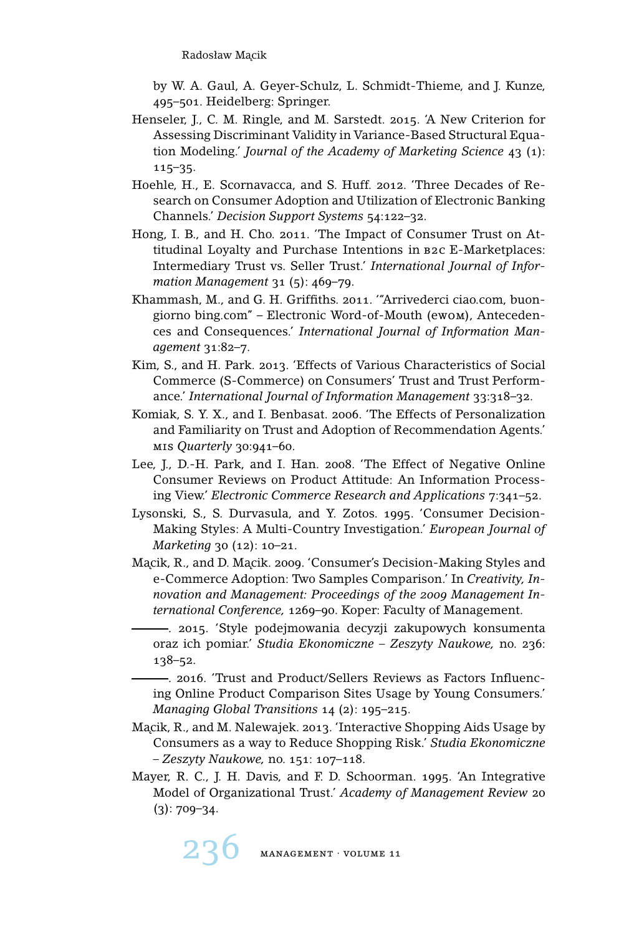by W. A. Gaul, A. Geyer-Schulz, L. Schmidt-Thieme, and J. Kunze, 495–501. Heidelberg: Springer.

- Henseler, J., C. M. Ringle, and M. Sarstedt. 2015. 'A New Criterion for Assessing Discriminant Validity in Variance-Based Structural Equation Modeling.' *Journal of the Academy of Marketing Science* 43 (1): 115–35.
- Hoehle, H., E. Scornavacca, and S. Huff. 2012. 'Three Decades of Research on Consumer Adoption and Utilization of Electronic Banking Channels.' *Decision Support Systems* 54:122–32.
- Hong, I. B., and H. Cho. 2011. 'The Impact of Consumer Trust on Attitudinal Loyalty and Purchase Intentions in b2c E-Marketplaces: Intermediary Trust vs. Seller Trust.' *International Journal of Information Management* 31 (5): 469–79.
- Khammash, M., and G. H. Griffiths. 2011. '"Arrivederci ciao.com, buongiorno bing.com" – Electronic Word-of-Mouth (ewom), Antecedences and Consequences.' *International Journal of Information Management* 31:82–7.
- Kim, S., and H. Park. 2013. 'Effects of Various Characteristics of Social Commerce (S-Commerce) on Consumers' Trust and Trust Performance.' *International Journal of Information Management* 33:318–32.
- Komiak, S. Y. X., and I. Benbasat. 2006. 'The Effects of Personalization and Familiarity on Trust and Adoption of Recommendation Agents.' mis *Quarterly* 30:941–60.
- Lee, J., D.-H. Park, and I. Han. 2008. 'The Effect of Negative Online Consumer Reviews on Product Attitude: An Information Processing View.' *Electronic Commerce Research and Applications* 7:341–52.
- Lysonski, S., S. Durvasula, and Y. Zotos. 1995. 'Consumer Decision-Making Styles: A Multi-Country Investigation.' *European Journal of Marketing* 30 (12): 10–21.
- Macik, R., and D. Macik. 2009. 'Consumer's Decision-Making Styles and e-Commerce Adoption: Two Samples Comparison.' In *Creativity, Innovation and Management: Proceedings of the 2009 Management International Conference,* 1269–90. Koper: Faculty of Management.
- . 2015. 'Style podejmowania decyzji zakupowych konsumenta oraz ich pomiar.' *Studia Ekonomiczne – Zeszyty Naukowe,* no. 236: 138–52.

. 2016. 'Trust and Product/Sellers Reviews as Factors Influencing Online Product Comparison Sites Usage by Young Consumers.' *Managing Global Transitions* 14 (2): 195–215.

- Macik, R., and M. Nalewajek. 2013. 'Interactive Shopping Aids Usage by Consumers as a way to Reduce Shopping Risk.' *Studia Ekonomiczne – Zeszyty Naukowe,* no. 151: 107–118.
- Mayer, R. C., J. H. Davis, and F. D. Schoorman. 1995. 'An Integrative Model of Organizational Trust.' *Academy of Management Review* 20 (3): 709–34.

236 management · volume <sup>11</sup>